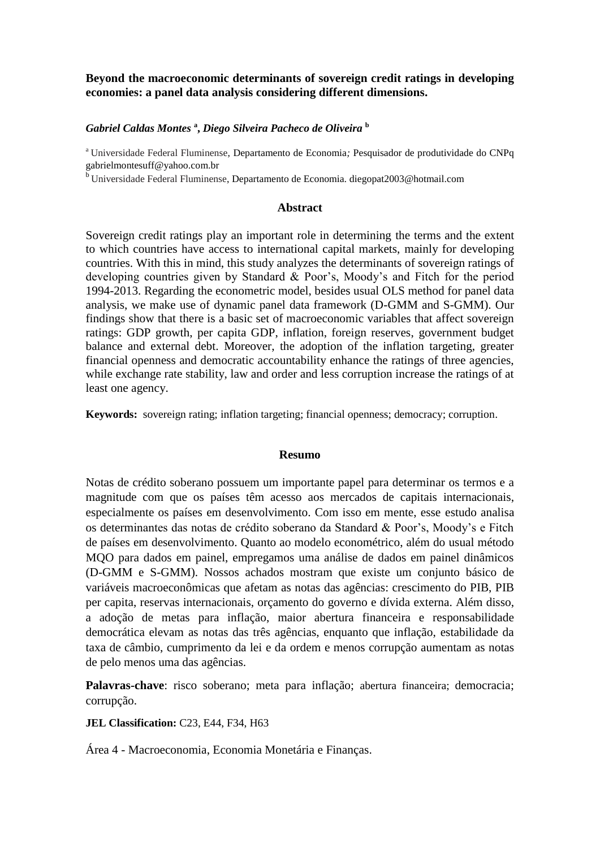# **Beyond the macroeconomic determinants of sovereign credit ratings in developing economies: a panel data analysis considering different dimensions.**

## *Gabriel Caldas Montes* **<sup>a</sup> ,** *Diego Silveira Pacheco de Oliveira* **<sup>b</sup>**

<sup>a</sup> Universidade Federal Fluminense, Departamento de Economia*;* Pesquisador de produtividade do CNPq gabrielmontesuff@yahoo.com.br

<sup>b</sup> Universidade Federal Fluminense, Departamento de Economia*.* diegopat2003@hotmail.com

## **Abstract**

Sovereign credit ratings play an important role in determining the terms and the extent to which countries have access to international capital markets, mainly for developing countries. With this in mind, this study analyzes the determinants of sovereign ratings of developing countries given by Standard & Poor's, Moody's and Fitch for the period 1994-2013. Regarding the econometric model, besides usual OLS method for panel data analysis, we make use of dynamic panel data framework (D-GMM and S-GMM). Our findings show that there is a basic set of macroeconomic variables that affect sovereign ratings: GDP growth, per capita GDP, inflation, foreign reserves, government budget balance and external debt. Moreover, the adoption of the inflation targeting, greater financial openness and democratic accountability enhance the ratings of three agencies, while exchange rate stability, law and order and less corruption increase the ratings of at least one agency.

**Keywords:** sovereign rating; inflation targeting; financial openness; democracy; corruption.

#### **Resumo**

Notas de crédito soberano possuem um importante papel para determinar os termos e a magnitude com que os países têm acesso aos mercados de capitais internacionais, especialmente os países em desenvolvimento. Com isso em mente, esse estudo analisa os determinantes das notas de crédito soberano da Standard & Poor's, Moody's e Fitch de países em desenvolvimento. Quanto ao modelo econométrico, além do usual método MQO para dados em painel, empregamos uma análise de dados em painel dinâmicos (D-GMM e S-GMM). Nossos achados mostram que existe um conjunto básico de variáveis macroeconômicas que afetam as notas das agências: crescimento do PIB, PIB per capita, reservas internacionais, orçamento do governo e dívida externa. Além disso, a adoção de metas para inflação, maior abertura financeira e responsabilidade democrática elevam as notas das três agências, enquanto que inflação, estabilidade da taxa de câmbio, cumprimento da lei e da ordem e menos corrupção aumentam as notas de pelo menos uma das agências.

**Palavras-chave**: risco soberano; meta para inflação; abertura financeira; democracia; corrupção.

## **JEL Classification:** C23, E44, F34, H63

Área 4 - Macroeconomia, Economia Monetária e Finanças.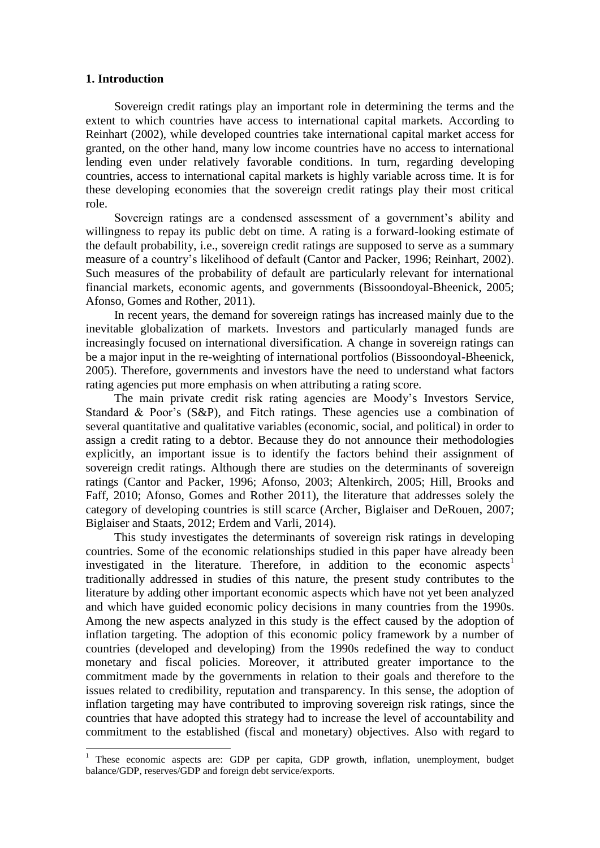## **1. Introduction**

1

Sovereign credit ratings play an important role in determining the terms and the extent to which countries have access to international capital markets. According to Reinhart (2002), while developed countries take international capital market access for granted, on the other hand, many low income countries have no access to international lending even under relatively favorable conditions. In turn, regarding developing countries, access to international capital markets is highly variable across time. It is for these developing economies that the sovereign credit ratings play their most critical role.

Sovereign ratings are a condensed assessment of a government's ability and willingness to repay its public debt on time. A rating is a forward-looking estimate of the default probability, i.e., sovereign credit ratings are supposed to serve as a summary measure of a country's likelihood of default (Cantor and Packer, 1996; Reinhart, 2002). Such measures of the probability of default are particularly relevant for international financial markets, economic agents, and governments (Bissoondoyal-Bheenick, 2005; Afonso, Gomes and Rother, 2011).

In recent years, the demand for sovereign ratings has increased mainly due to the inevitable globalization of markets. Investors and particularly managed funds are increasingly focused on international diversification. A change in sovereign ratings can be a major input in the re-weighting of international portfolios (Bissoondoyal-Bheenick, 2005). Therefore, governments and investors have the need to understand what factors rating agencies put more emphasis on when attributing a rating score.

The main private credit risk rating agencies are Moody's Investors Service, Standard & Poor's (S&P), and Fitch ratings. These agencies use a combination of several quantitative and qualitative variables (economic, social, and political) in order to assign a credit rating to a debtor. Because they do not announce their methodologies explicitly, an important issue is to identify the factors behind their assignment of sovereign credit ratings. Although there are studies on the determinants of sovereign ratings (Cantor and Packer, 1996; Afonso, 2003; Altenkirch, 2005; Hill, Brooks and Faff, 2010; Afonso, Gomes and Rother 2011), the literature that addresses solely the category of developing countries is still scarce (Archer, Biglaiser and DeRouen, 2007; Biglaiser and Staats, 2012; Erdem and Varli, 2014).

This study investigates the determinants of sovereign risk ratings in developing countries. Some of the economic relationships studied in this paper have already been investigated in the literature. Therefore, in addition to the economic aspects<sup>1</sup> traditionally addressed in studies of this nature, the present study contributes to the literature by adding other important economic aspects which have not yet been analyzed and which have guided economic policy decisions in many countries from the 1990s. Among the new aspects analyzed in this study is the effect caused by the adoption of inflation targeting. The adoption of this economic policy framework by a number of countries (developed and developing) from the 1990s redefined the way to conduct monetary and fiscal policies. Moreover, it attributed greater importance to the commitment made by the governments in relation to their goals and therefore to the issues related to credibility, reputation and transparency. In this sense, the adoption of inflation targeting may have contributed to improving sovereign risk ratings, since the countries that have adopted this strategy had to increase the level of accountability and commitment to the established (fiscal and monetary) objectives. Also with regard to

<sup>&</sup>lt;sup>1</sup> These economic aspects are: GDP per capita, GDP growth, inflation, unemployment, budget balance/GDP, reserves/GDP and foreign debt service/exports.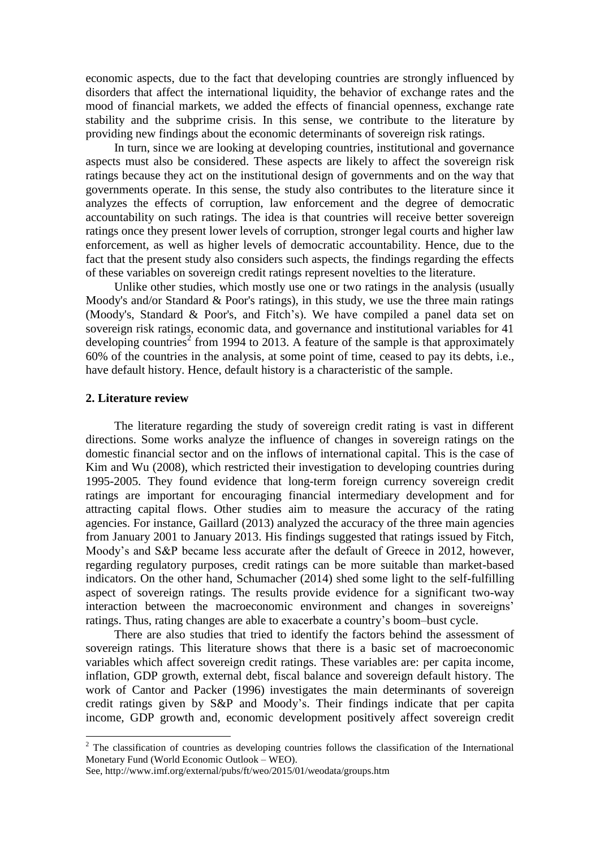economic aspects, due to the fact that developing countries are strongly influenced by disorders that affect the international liquidity, the behavior of exchange rates and the mood of financial markets, we added the effects of financial openness, exchange rate stability and the subprime crisis. In this sense, we contribute to the literature by providing new findings about the economic determinants of sovereign risk ratings.

In turn, since we are looking at developing countries, institutional and governance aspects must also be considered. These aspects are likely to affect the sovereign risk ratings because they act on the institutional design of governments and on the way that governments operate. In this sense, the study also contributes to the literature since it analyzes the effects of corruption, law enforcement and the degree of democratic accountability on such ratings. The idea is that countries will receive better sovereign ratings once they present lower levels of corruption, stronger legal courts and higher law enforcement, as well as higher levels of democratic accountability. Hence, due to the fact that the present study also considers such aspects, the findings regarding the effects of these variables on sovereign credit ratings represent novelties to the literature.

Unlike other studies, which mostly use one or two ratings in the analysis (usually Moody's and/or Standard & Poor's ratings), in this study, we use the three main ratings (Moody's, Standard & Poor's, and Fitch's). We have compiled a panel data set on sovereign risk ratings, economic data, and governance and institutional variables for 41 developing countries<sup>2</sup> from 1994 to 2013. A feature of the sample is that approximately 60% of the countries in the analysis, at some point of time, ceased to pay its debts, i.e., have default history. Hence, default history is a characteristic of the sample.

### **2. Literature review**

 $\overline{a}$ 

The literature regarding the study of sovereign credit rating is vast in different directions. Some works analyze the influence of changes in sovereign ratings on the domestic financial sector and on the inflows of international capital. This is the case of Kim and Wu (2008), which restricted their investigation to developing countries during 1995-2005. They found evidence that long-term foreign currency sovereign credit ratings are important for encouraging financial intermediary development and for attracting capital flows. Other studies aim to measure the accuracy of the rating agencies. For instance, Gaillard (2013) analyzed the accuracy of the three main agencies from January 2001 to January 2013. His findings suggested that ratings issued by Fitch, Moody's and S&P became less accurate after the default of Greece in 2012, however, regarding regulatory purposes, credit ratings can be more suitable than market-based indicators. On the other hand, Schumacher (2014) shed some light to the self-fulfilling aspect of sovereign ratings. The results provide evidence for a significant two-way interaction between the macroeconomic environment and changes in sovereigns' ratings. Thus, rating changes are able to exacerbate a country's boom–bust cycle.

There are also studies that tried to identify the factors behind the assessment of sovereign ratings. This literature shows that there is a basic set of macroeconomic variables which affect sovereign credit ratings. These variables are: per capita income, inflation, GDP growth, external debt, fiscal balance and sovereign default history. The work of Cantor and Packer (1996) investigates the main determinants of sovereign credit ratings given by S&P and Moody's. Their findings indicate that per capita income, GDP growth and, economic development positively affect sovereign credit

<sup>&</sup>lt;sup>2</sup> The classification of countries as developing countries follows the classification of the International Monetary Fund (World Economic Outlook – WEO).

See, http://www.imf.org/external/pubs/ft/weo/2015/01/weodata/groups.htm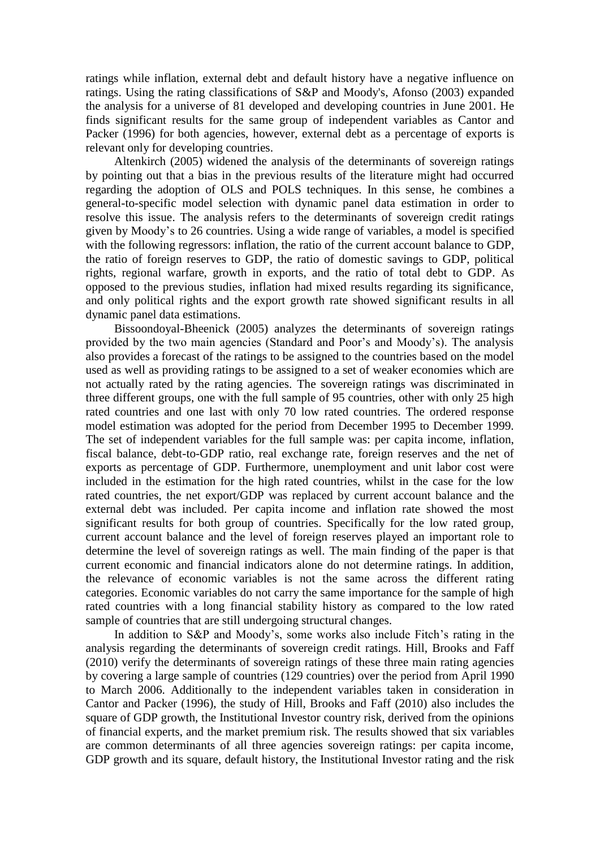ratings while inflation, external debt and default history have a negative influence on ratings. Using the rating classifications of S&P and Moody's, Afonso (2003) expanded the analysis for a universe of 81 developed and developing countries in June 2001. He finds significant results for the same group of independent variables as Cantor and Packer (1996) for both agencies, however, external debt as a percentage of exports is relevant only for developing countries.

Altenkirch (2005) widened the analysis of the determinants of sovereign ratings by pointing out that a bias in the previous results of the literature might had occurred regarding the adoption of OLS and POLS techniques. In this sense, he combines a general-to-specific model selection with dynamic panel data estimation in order to resolve this issue. The analysis refers to the determinants of sovereign credit ratings given by Moody's to 26 countries. Using a wide range of variables, a model is specified with the following regressors: inflation, the ratio of the current account balance to GDP, the ratio of foreign reserves to GDP, the ratio of domestic savings to GDP, political rights, regional warfare, growth in exports, and the ratio of total debt to GDP. As opposed to the previous studies, inflation had mixed results regarding its significance, and only political rights and the export growth rate showed significant results in all dynamic panel data estimations.

Bissoondoyal-Bheenick (2005) analyzes the determinants of sovereign ratings provided by the two main agencies (Standard and Poor's and Moody's). The analysis also provides a forecast of the ratings to be assigned to the countries based on the model used as well as providing ratings to be assigned to a set of weaker economies which are not actually rated by the rating agencies. The sovereign ratings was discriminated in three different groups, one with the full sample of 95 countries, other with only 25 high rated countries and one last with only 70 low rated countries. The ordered response model estimation was adopted for the period from December 1995 to December 1999. The set of independent variables for the full sample was: per capita income, inflation, fiscal balance, debt-to-GDP ratio, real exchange rate, foreign reserves and the net of exports as percentage of GDP. Furthermore, unemployment and unit labor cost were included in the estimation for the high rated countries, whilst in the case for the low rated countries, the net export/GDP was replaced by current account balance and the external debt was included. Per capita income and inflation rate showed the most significant results for both group of countries. Specifically for the low rated group, current account balance and the level of foreign reserves played an important role to determine the level of sovereign ratings as well. The main finding of the paper is that current economic and financial indicators alone do not determine ratings. In addition, the relevance of economic variables is not the same across the different rating categories. Economic variables do not carry the same importance for the sample of high rated countries with a long financial stability history as compared to the low rated sample of countries that are still undergoing structural changes.

In addition to S&P and Moody's, some works also include Fitch's rating in the analysis regarding the determinants of sovereign credit ratings. Hill, Brooks and Faff (2010) verify the determinants of sovereign ratings of these three main rating agencies by covering a large sample of countries (129 countries) over the period from April 1990 to March 2006. Additionally to the independent variables taken in consideration in Cantor and Packer (1996), the study of Hill, Brooks and Faff (2010) also includes the square of GDP growth, the Institutional Investor country risk, derived from the opinions of financial experts, and the market premium risk. The results showed that six variables are common determinants of all three agencies sovereign ratings: per capita income, GDP growth and its square, default history, the Institutional Investor rating and the risk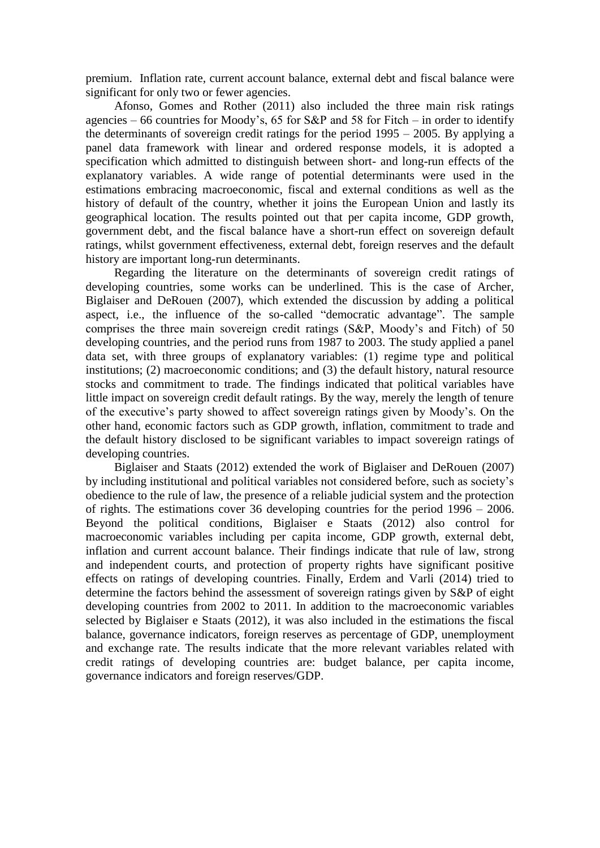premium. Inflation rate, current account balance, external debt and fiscal balance were significant for only two or fewer agencies.

Afonso, Gomes and Rother (2011) also included the three main risk ratings agencies – 66 countries for Moody's, 65 for S&P and 58 for Fitch – in order to identify the determinants of sovereign credit ratings for the period 1995 – 2005. By applying a panel data framework with linear and ordered response models, it is adopted a specification which admitted to distinguish between short- and long-run effects of the explanatory variables. A wide range of potential determinants were used in the estimations embracing macroeconomic, fiscal and external conditions as well as the history of default of the country, whether it joins the European Union and lastly its geographical location. The results pointed out that per capita income, GDP growth, government debt, and the fiscal balance have a short-run effect on sovereign default ratings, whilst government effectiveness, external debt, foreign reserves and the default history are important long-run determinants.

Regarding the literature on the determinants of sovereign credit ratings of developing countries, some works can be underlined. This is the case of Archer, Biglaiser and DeRouen (2007), which extended the discussion by adding a political aspect, i.e., the influence of the so-called "democratic advantage". The sample comprises the three main sovereign credit ratings (S&P, Moody's and Fitch) of 50 developing countries, and the period runs from 1987 to 2003. The study applied a panel data set, with three groups of explanatory variables: (1) regime type and political institutions; (2) macroeconomic conditions; and (3) the default history, natural resource stocks and commitment to trade. The findings indicated that political variables have little impact on sovereign credit default ratings. By the way, merely the length of tenure of the executive's party showed to affect sovereign ratings given by Moody's. On the other hand, economic factors such as GDP growth, inflation, commitment to trade and the default history disclosed to be significant variables to impact sovereign ratings of developing countries.

Biglaiser and Staats (2012) extended the work of Biglaiser and DeRouen (2007) by including institutional and political variables not considered before, such as society's obedience to the rule of law, the presence of a reliable judicial system and the protection of rights. The estimations cover 36 developing countries for the period 1996 – 2006. Beyond the political conditions, Biglaiser e Staats (2012) also control for macroeconomic variables including per capita income, GDP growth, external debt, inflation and current account balance. Their findings indicate that rule of law, strong and independent courts, and protection of property rights have significant positive effects on ratings of developing countries. Finally, Erdem and Varli (2014) tried to determine the factors behind the assessment of sovereign ratings given by S&P of eight developing countries from 2002 to 2011. In addition to the macroeconomic variables selected by Biglaiser e Staats (2012), it was also included in the estimations the fiscal balance, governance indicators, foreign reserves as percentage of GDP, unemployment and exchange rate. The results indicate that the more relevant variables related with credit ratings of developing countries are: budget balance, per capita income, governance indicators and foreign reserves/GDP.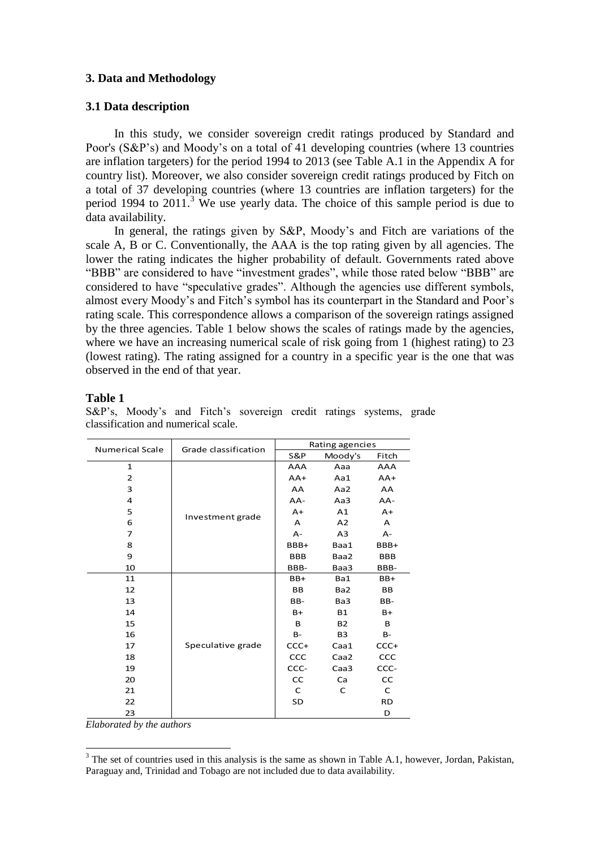# **3. Data and Methodology**

# **3.1 Data description**

In this study, we consider sovereign credit ratings produced by Standard and Poor's (S&P's) and Moody's on a total of 41 developing countries (where 13 countries are inflation targeters) for the period 1994 to 2013 (see Table A.1 in the Appendix A for country list). Moreover, we also consider sovereign credit ratings produced by Fitch on a total of 37 developing countries (where 13 countries are inflation targeters) for the period 1994 to  $2011<sup>3</sup>$  We use yearly data. The choice of this sample period is due to data availability.

In general, the ratings given by S&P, Moody's and Fitch are variations of the scale A, B or C. Conventionally, the AAA is the top rating given by all agencies. The lower the rating indicates the higher probability of default. Governments rated above "BBB" are considered to have "investment grades", while those rated below "BBB" are considered to have "speculative grades". Although the agencies use different symbols, almost every Moody's and Fitch's symbol has its counterpart in the Standard and Poor's rating scale. This correspondence allows a comparison of the sovereign ratings assigned by the three agencies. Table 1 below shows the scales of ratings made by the agencies, where we have an increasing numerical scale of risk going from 1 (highest rating) to 23 (lowest rating). The rating assigned for a country in a specific year is the one that was observed in the end of that year.

## **Table 1**

| <b>Numerical Scale</b> | Grade classification | Rating agencies |                |            |  |  |  |  |
|------------------------|----------------------|-----------------|----------------|------------|--|--|--|--|
|                        |                      | S&P             | Moody's        | Fitch      |  |  |  |  |
| $\mathbf{1}$           |                      | AAA             | Aaa            | AAA        |  |  |  |  |
| $\overline{2}$         |                      | $AA+$           | Aa1            | $AA+$      |  |  |  |  |
| 3                      |                      | AA              | Aa2            | AA         |  |  |  |  |
| 4                      |                      | AA-             | Aa3            | AA-        |  |  |  |  |
| 5                      | Investment grade     | $A+$            | A1             | $A+$       |  |  |  |  |
| 6                      |                      | A               | A <sub>2</sub> | A          |  |  |  |  |
| 7                      |                      | $A -$           | A <sub>3</sub> | $A -$      |  |  |  |  |
| 8                      |                      | BBB+            | Baa1           | BBB+       |  |  |  |  |
| 9                      |                      | <b>BBB</b>      | Baa2           | <b>BBB</b> |  |  |  |  |
| 10                     |                      | BBB-            | Baa3           | BBB-       |  |  |  |  |
| 11                     |                      | $BB+$           | Ba1            | $BB+$      |  |  |  |  |
| 12                     |                      | <b>BB</b>       | Ba2            | BB         |  |  |  |  |
| 13                     |                      | BB-             | Ba3            | BB-        |  |  |  |  |
| 14                     |                      | B+              | <b>B1</b>      | B+         |  |  |  |  |
| 15                     |                      | B               | <b>B2</b>      | B          |  |  |  |  |
| 16                     |                      | $B -$           | B <sub>3</sub> | <b>B-</b>  |  |  |  |  |
| 17                     | Speculative grade    | $CCC+$          | Caa1           | CCC+       |  |  |  |  |
| 18                     |                      | CCC             | Caa2           | CCC        |  |  |  |  |
| 19                     |                      | CCC-            | Caa3           | CCC-       |  |  |  |  |
| 20                     |                      | <b>CC</b>       | Ca             | CC         |  |  |  |  |
| 21                     |                      | C               | C              | C          |  |  |  |  |
| 22                     |                      | SD              |                | <b>RD</b>  |  |  |  |  |
| 23                     |                      |                 |                | D          |  |  |  |  |

S&P's, Moody's and Fitch's sovereign credit ratings systems, grade classification and numerical scale.

*Elaborated by the authors*

1

 $3$  The set of countries used in this analysis is the same as shown in Table A.1, however, Jordan, Pakistan, Paraguay and, Trinidad and Tobago are not included due to data availability.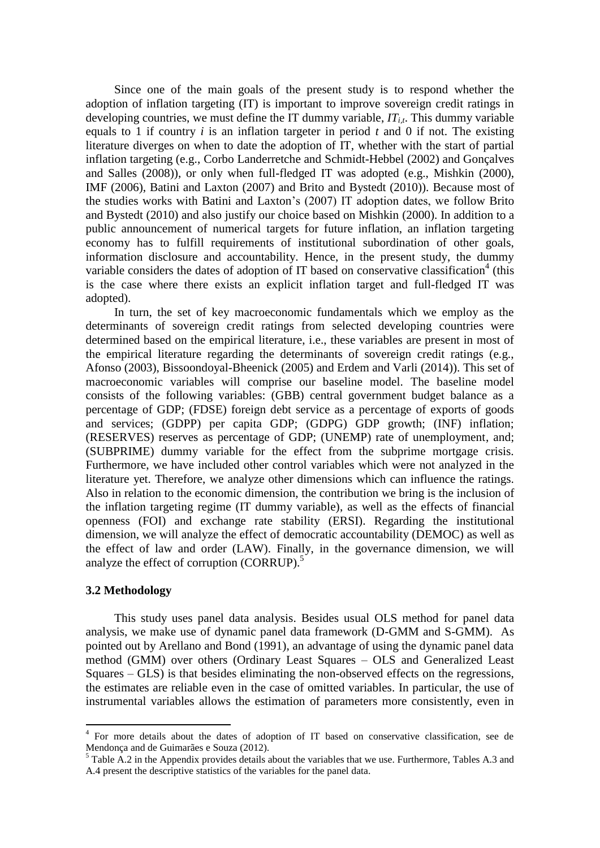Since one of the main goals of the present study is to respond whether the adoption of inflation targeting (IT) is important to improve sovereign credit ratings in developing countries, we must define the IT dummy variable,  $IT_{it}$ . This dummy variable equals to 1 if country *i* is an inflation targeter in period *t* and 0 if not. The existing literature diverges on when to date the adoption of IT, whether with the start of partial inflation targeting (e.g., Corbo Landerretche and Schmidt-Hebbel (2002) and Gonçalves and Salles (2008)), or only when full-fledged IT was adopted (e.g., Mishkin (2000), IMF (2006), Batini and Laxton (2007) and Brito and Bystedt (2010)). Because most of the studies works with Batini and Laxton's (2007) IT adoption dates, we follow Brito and Bystedt (2010) and also justify our choice based on Mishkin (2000). In addition to a public announcement of numerical targets for future inflation, an inflation targeting economy has to fulfill requirements of institutional subordination of other goals, information disclosure and accountability. Hence, in the present study, the dummy variable considers the dates of adoption of IT based on conservative classification<sup>4</sup> (this is the case where there exists an explicit inflation target and full-fledged IT was adopted).

In turn, the set of key macroeconomic fundamentals which we employ as the determinants of sovereign credit ratings from selected developing countries were determined based on the empirical literature, i.e., these variables are present in most of the empirical literature regarding the determinants of sovereign credit ratings (e.g., Afonso (2003), Bissoondoyal-Bheenick (2005) and Erdem and Varli (2014)). This set of macroeconomic variables will comprise our baseline model. The baseline model consists of the following variables: (GBB) central government budget balance as a percentage of GDP; (FDSE) foreign debt service as a percentage of exports of goods and services; (GDPP) per capita GDP; (GDPG) GDP growth; (INF) inflation; (RESERVES) reserves as percentage of GDP; (UNEMP) rate of unemployment, and; (SUBPRIME) dummy variable for the effect from the subprime mortgage crisis. Furthermore, we have included other control variables which were not analyzed in the literature yet. Therefore, we analyze other dimensions which can influence the ratings. Also in relation to the economic dimension, the contribution we bring is the inclusion of the inflation targeting regime (IT dummy variable), as well as the effects of financial openness (FOI) and exchange rate stability (ERSI). Regarding the institutional dimension, we will analyze the effect of democratic accountability (DEMOC) as well as the effect of law and order (LAW). Finally, in the governance dimension, we will analyze the effect of corruption (CORRUP).<sup>5</sup>

## **3.2 Methodology**

This study uses panel data analysis. Besides usual OLS method for panel data analysis, we make use of dynamic panel data framework (D-GMM and S-GMM). As pointed out by Arellano and Bond (1991), an advantage of using the dynamic panel data method (GMM) over others (Ordinary Least Squares – OLS and Generalized Least Squares – GLS) is that besides eliminating the non-observed effects on the regressions, the estimates are reliable even in the case of omitted variables. In particular, the use of instrumental variables allows the estimation of parameters more consistently, even in

 4 For more details about the dates of adoption of IT based on conservative classification, see de Mendonça and de Guimarães e Souza (2012).

 $5$  Table A.2 in the Appendix provides details about the variables that we use. Furthermore, Tables A.3 and A.4 present the descriptive statistics of the variables for the panel data.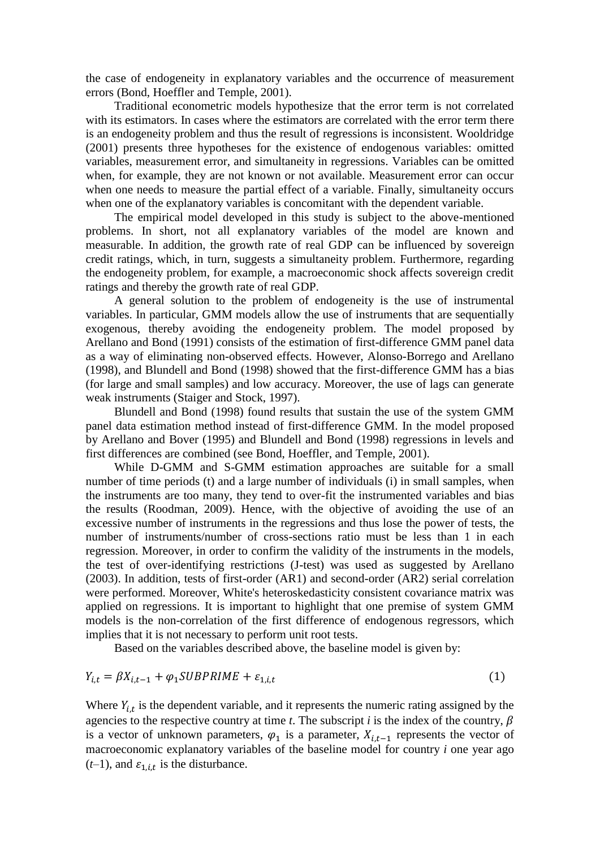the case of endogeneity in explanatory variables and the occurrence of measurement errors (Bond, Hoeffler and Temple, 2001).

Traditional econometric models hypothesize that the error term is not correlated with its estimators. In cases where the estimators are correlated with the error term there is an endogeneity problem and thus the result of regressions is inconsistent. Wooldridge (2001) presents three hypotheses for the existence of endogenous variables: omitted variables, measurement error, and simultaneity in regressions. Variables can be omitted when, for example, they are not known or not available. Measurement error can occur when one needs to measure the partial effect of a variable. Finally, simultaneity occurs when one of the explanatory variables is concomitant with the dependent variable.

The empirical model developed in this study is subject to the above-mentioned problems. In short, not all explanatory variables of the model are known and measurable. In addition, the growth rate of real GDP can be influenced by sovereign credit ratings, which, in turn, suggests a simultaneity problem. Furthermore, regarding the endogeneity problem, for example, a macroeconomic shock affects sovereign credit ratings and thereby the growth rate of real GDP.

A general solution to the problem of endogeneity is the use of instrumental variables. In particular, GMM models allow the use of instruments that are sequentially exogenous, thereby avoiding the endogeneity problem. The model proposed by Arellano and Bond (1991) consists of the estimation of first-difference GMM panel data as a way of eliminating non-observed effects. However, Alonso-Borrego and Arellano (1998), and Blundell and Bond (1998) showed that the first-difference GMM has a bias (for large and small samples) and low accuracy. Moreover, the use of lags can generate weak instruments (Staiger and Stock, 1997).

Blundell and Bond (1998) found results that sustain the use of the system GMM panel data estimation method instead of first-difference GMM. In the model proposed by Arellano and Bover (1995) and Blundell and Bond (1998) regressions in levels and first differences are combined (see Bond, Hoeffler, and Temple, 2001).

While D-GMM and S-GMM estimation approaches are suitable for a small number of time periods (t) and a large number of individuals (i) in small samples, when the instruments are too many, they tend to over-fit the instrumented variables and bias the results (Roodman, 2009). Hence, with the objective of avoiding the use of an excessive number of instruments in the regressions and thus lose the power of tests, the number of instruments/number of cross-sections ratio must be less than 1 in each regression. Moreover, in order to confirm the validity of the instruments in the models, the test of over-identifying restrictions (J-test) was used as suggested by Arellano (2003). In addition, tests of first-order (AR1) and second-order (AR2) serial correlation were performed. Moreover, White's heteroskedasticity consistent covariance matrix was applied on regressions. It is important to highlight that one premise of system GMM models is the non-correlation of the first difference of endogenous regressors, which implies that it is not necessary to perform unit root tests.

Based on the variables described above, the baseline model is given by:

$$
Y_{i,t} = \beta X_{i,t-1} + \varphi_1 SUBPRIME + \varepsilon_{1,i,t}
$$
\n<sup>(1)</sup>

Where  $Y_{i,t}$  is the dependent variable, and it represents the numeric rating assigned by the agencies to the respective country at time *t*. The subscript *i* is the index of the country,  $\beta$ is a vector of unknown parameters,  $\varphi_1$  is a parameter,  $X_{i,t-1}$  represents the vector of macroeconomic explanatory variables of the baseline model for country *i* one year ago  $(t-1)$ , and  $\varepsilon_{1,i,t}$  is the disturbance.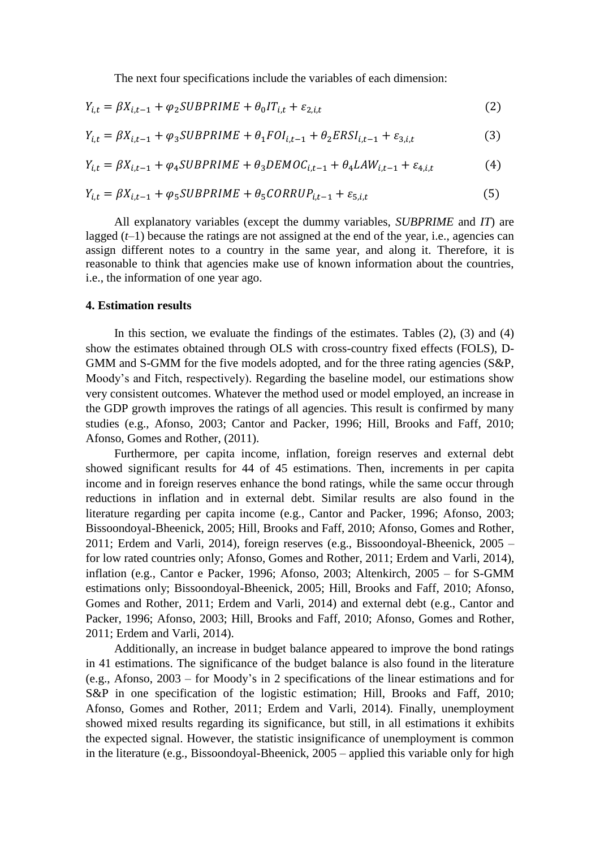The next four specifications include the variables of each dimension:

$$
Y_{i,t} = \beta X_{i,t-1} + \varphi_2 SUBPRIME + \theta_0 IT_{i,t} + \varepsilon_{2,i,t}
$$
\n<sup>(2)</sup>

$$
Y_{i,t} = \beta X_{i,t-1} + \varphi_3 SUBPRIME + \theta_1 FOI_{i,t-1} + \theta_2 ERSI_{i,t-1} + \varepsilon_{3,i,t}
$$
 (3)

$$
Y_{i,t} = \beta X_{i,t-1} + \varphi_4 SUBPRIME + \theta_3 DEMOC_{i,t-1} + \theta_4 LAW_{i,t-1} + \varepsilon_{4,i,t}
$$
(4)

$$
Y_{i,t} = \beta X_{i,t-1} + \varphi_5 SUBPRIME + \theta_5 CORRUP_{i,t-1} + \varepsilon_{5,i,t}
$$
\n
$$
\tag{5}
$$

All explanatory variables (except the dummy variables, *SUBPRIME* and *IT*) are lagged  $(t-1)$  because the ratings are not assigned at the end of the year, i.e., agencies can assign different notes to a country in the same year, and along it. Therefore, it is reasonable to think that agencies make use of known information about the countries, i.e., the information of one year ago.

#### **4. Estimation results**

In this section, we evaluate the findings of the estimates. Tables  $(2)$ ,  $(3)$  and  $(4)$ show the estimates obtained through OLS with cross-country fixed effects (FOLS), D-GMM and S-GMM for the five models adopted, and for the three rating agencies (S&P, Moody's and Fitch, respectively). Regarding the baseline model, our estimations show very consistent outcomes. Whatever the method used or model employed, an increase in the GDP growth improves the ratings of all agencies. This result is confirmed by many studies (e.g., Afonso, 2003; Cantor and Packer, 1996; Hill, Brooks and Faff, 2010; Afonso, Gomes and Rother, (2011).

Furthermore, per capita income, inflation, foreign reserves and external debt showed significant results for 44 of 45 estimations. Then, increments in per capita income and in foreign reserves enhance the bond ratings, while the same occur through reductions in inflation and in external debt. Similar results are also found in the literature regarding per capita income (e.g., Cantor and Packer, 1996; Afonso, 2003; Bissoondoyal-Bheenick, 2005; Hill, Brooks and Faff, 2010; Afonso, Gomes and Rother, 2011; Erdem and Varli, 2014), foreign reserves (e.g., Bissoondoyal-Bheenick, 2005 – for low rated countries only; Afonso, Gomes and Rother, 2011; Erdem and Varli, 2014), inflation (e.g., Cantor e Packer, 1996; Afonso, 2003; Altenkirch, 2005 – for S-GMM estimations only; Bissoondoyal-Bheenick, 2005; Hill, Brooks and Faff, 2010; Afonso, Gomes and Rother, 2011; Erdem and Varli, 2014) and external debt (e.g., Cantor and Packer, 1996; Afonso, 2003; Hill, Brooks and Faff, 2010; Afonso, Gomes and Rother, 2011; Erdem and Varli, 2014).

Additionally, an increase in budget balance appeared to improve the bond ratings in 41 estimations. The significance of the budget balance is also found in the literature (e.g., Afonso, 2003 – for Moody's in 2 specifications of the linear estimations and for S&P in one specification of the logistic estimation; Hill, Brooks and Faff, 2010; Afonso, Gomes and Rother, 2011; Erdem and Varli, 2014). Finally, unemployment showed mixed results regarding its significance, but still, in all estimations it exhibits the expected signal. However, the statistic insignificance of unemployment is common in the literature (e.g., Bissoondoyal-Bheenick, 2005 – applied this variable only for high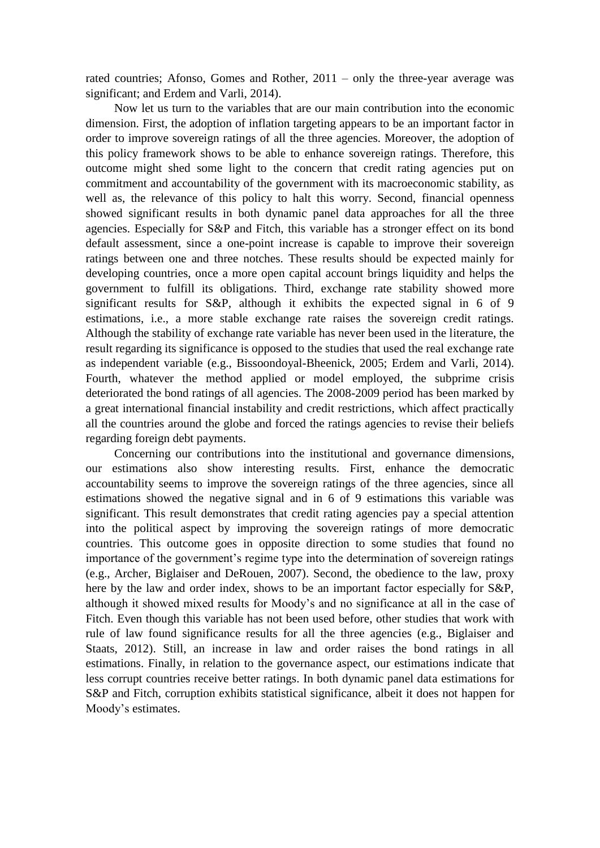rated countries; Afonso, Gomes and Rother, 2011 – only the three-year average was significant; and Erdem and Varli, 2014).

Now let us turn to the variables that are our main contribution into the economic dimension. First, the adoption of inflation targeting appears to be an important factor in order to improve sovereign ratings of all the three agencies. Moreover, the adoption of this policy framework shows to be able to enhance sovereign ratings. Therefore, this outcome might shed some light to the concern that credit rating agencies put on commitment and accountability of the government with its macroeconomic stability, as well as, the relevance of this policy to halt this worry. Second, financial openness showed significant results in both dynamic panel data approaches for all the three agencies. Especially for S&P and Fitch, this variable has a stronger effect on its bond default assessment, since a one-point increase is capable to improve their sovereign ratings between one and three notches. These results should be expected mainly for developing countries, once a more open capital account brings liquidity and helps the government to fulfill its obligations. Third, exchange rate stability showed more significant results for S&P, although it exhibits the expected signal in 6 of 9 estimations, i.e., a more stable exchange rate raises the sovereign credit ratings. Although the stability of exchange rate variable has never been used in the literature, the result regarding its significance is opposed to the studies that used the real exchange rate as independent variable (e.g., Bissoondoyal-Bheenick, 2005; Erdem and Varli, 2014). Fourth, whatever the method applied or model employed, the subprime crisis deteriorated the bond ratings of all agencies. The 2008-2009 period has been marked by a great international financial instability and credit restrictions, which affect practically all the countries around the globe and forced the ratings agencies to revise their beliefs regarding foreign debt payments.

Concerning our contributions into the institutional and governance dimensions, our estimations also show interesting results. First, enhance the democratic accountability seems to improve the sovereign ratings of the three agencies, since all estimations showed the negative signal and in 6 of 9 estimations this variable was significant. This result demonstrates that credit rating agencies pay a special attention into the political aspect by improving the sovereign ratings of more democratic countries. This outcome goes in opposite direction to some studies that found no importance of the government's regime type into the determination of sovereign ratings (e.g., Archer, Biglaiser and DeRouen, 2007). Second, the obedience to the law, proxy here by the law and order index, shows to be an important factor especially for S&P, although it showed mixed results for Moody's and no significance at all in the case of Fitch. Even though this variable has not been used before, other studies that work with rule of law found significance results for all the three agencies (e.g., Biglaiser and Staats, 2012). Still, an increase in law and order raises the bond ratings in all estimations. Finally, in relation to the governance aspect, our estimations indicate that less corrupt countries receive better ratings. In both dynamic panel data estimations for S&P and Fitch, corruption exhibits statistical significance, albeit it does not happen for Moody's estimates.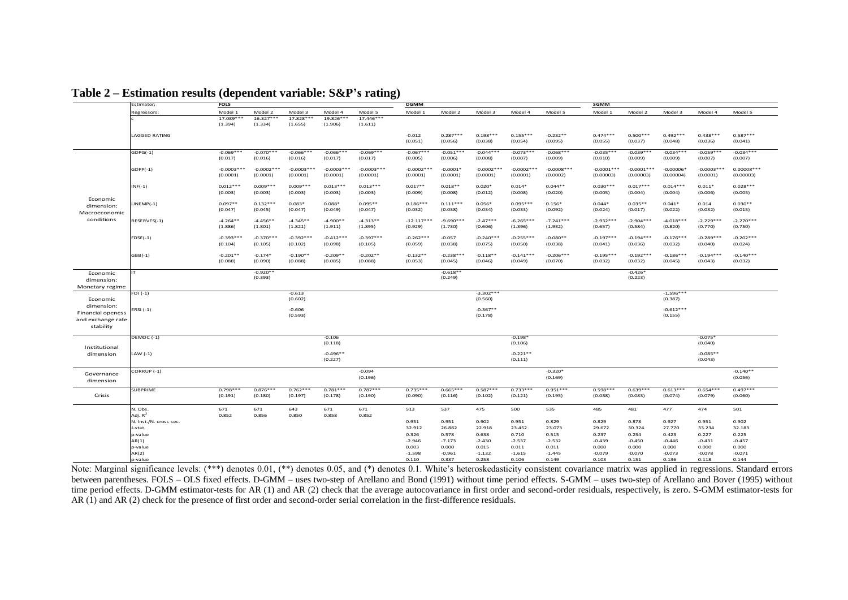|                                         | Estimator:             | <b>FOLS</b>              |                          |                          |                          |                          | <b>DGMM</b>              |                        |                          |                          |                          | SGMM                      |                           |                          |                          |                           |
|-----------------------------------------|------------------------|--------------------------|--------------------------|--------------------------|--------------------------|--------------------------|--------------------------|------------------------|--------------------------|--------------------------|--------------------------|---------------------------|---------------------------|--------------------------|--------------------------|---------------------------|
|                                         | Regressors:            | Model 1                  | Model 2                  | Model 3                  | Model 4                  | Model 5                  | Model 1                  | Model 2                | Model 3                  | Model 4                  | Model 5                  | Model 1                   | Model 2                   | Model 3                  | Model 4                  | Model 5                   |
|                                         |                        | 17.089***<br>(1.394)     | $16.327***$<br>(1.334)   | 17.828***<br>(1.655)     | 19.826***<br>(1.906)     | 17.446***<br>(1.611)     |                          |                        |                          |                          |                          |                           |                           |                          |                          |                           |
|                                         | <b>LAGGED RATING</b>   |                          |                          |                          |                          |                          | $-0.012$<br>(0.051)      | $0.287***$<br>(0.056)  | $0.198***$<br>(0.038)    | $0.155***$<br>(0.054)    | $-0.232**$<br>(0.095)    | $0.474***$<br>(0.055)     | $0.500***$<br>(0.037)     | $0.492***$<br>(0.048)    | $0.438***$<br>(0.036)    | $0.587***$<br>(0.041)     |
|                                         | $GDPG(-1)$             | $-0.069***$<br>(0.017)   | $-0.070***$<br>(0.016)   | $-0.066***$<br>(0.016)   | $-0.066***$<br>(0.017)   | $-0.069***$<br>(0.017)   | $-0.067***$<br>(0.005)   | $-0.051***$<br>(0.006) | $-0.044***$<br>(0.008)   | $-0.073***$<br>(0.007)   | $-0.068***$<br>(0.009)   | $-0.035***$<br>(0.010)    | $-0.039***$<br>(0.009)    | $-0.034***$<br>(0.009)   | $-0.059***$<br>(0.007)   | $-0.034***$<br>(0.007)    |
|                                         | $GDPP(-1)$             | $-0.0003***$<br>(0.0001) | $-0.0002***$<br>(0.0001) | $-0.0003***$<br>(0.0001) | $-0.0003***$<br>(0.0001) | $-0.0003***$<br>(0.0001) | $-0.0002***$<br>(0.0001) | $-0.0001*$<br>(0.0001) | $-0.0002***$<br>(0.0001) | $-0.0002***$<br>(0.0001) | $-0.0008***$<br>(0.0002) | $-0.0001***$<br>(0.00003) | $-0.0001***$<br>(0.00003) | $-0.00006*$<br>(0.00004) | $-0.0003***$<br>(0.0001) | $0.00008***$<br>(0.00003) |
|                                         | $INF(-1)$              | $0.012***$<br>(0.003)    | $0.009***$<br>(0.003)    | $0.009***$<br>(0.003)    | $0.013***$<br>(0.003)    | $0.013***$<br>(0.003)    | $0.017**$<br>(0.009)     | $0.018**$<br>(0.008)   | $0.020*$<br>(0.012)      | $0.014*$<br>(0.008)      | $0.044**$<br>(0.020)     | $0.030***$<br>(0.005)     | $0.017***$<br>(0.004)     | $0.014***$<br>(0.004)    | $0.011*$<br>(0.006)      | $0.028***$<br>(0.005)     |
| Economic<br>dimension:<br>Macroeconomic | $UNEMP(-1)$            | $0.097**$<br>(0.047)     | $0.132***$<br>(0.045)    | $0.083*$<br>(0.047)      | $0.088*$<br>(0.049)      | $0.095**$<br>(0.047)     | $0.186***$<br>(0.032)    | $0.111***$<br>(0.038)  | $0.056*$<br>(0.034)      | $0.095***$<br>(0.033)    | $0.156*$<br>(0.092)      | $0.044*$<br>(0.024)       | $0.035**$<br>(0.017)      | $0.041*$<br>(0.022)      | 0.014<br>(0.032)         | $0.030**$<br>(0.015)      |
| conditions                              | RESERVES(-1)           | $-4.264**$<br>(1.886)    | $-4.456**$<br>(1.801)    | $-4.345**$<br>(1.821)    | $-4.900**$<br>(1.911)    | $-4.313**$<br>(1.895)    | $-12.117***$<br>(0.929)  | $-9.690***$<br>(1.730) | $-2.47***$<br>(0.606)    | $-6.265***$<br>(1.396)   | $-7.241***$<br>(1.932)   | $-2.932***$<br>(0.657)    | $-2.904***$<br>(0.584)    | $-4.018***$<br>(0.820)   | $-2.229***$<br>(0.770)   | $-2.270***$<br>(0.750)    |
|                                         | $FDSE(-1)$             | $-0.393***$<br>(0.104)   | $-0.370***$<br>(0.105)   | $-0.392***$<br>(0.102)   | $-0.412***$<br>(0.098)   | $-0.397***$<br>(0.105)   | $-0.262***$<br>(0.059)   | $-0.057$<br>(0.038)    | $-0.240***$<br>(0.075)   | $-0.255***$<br>(0.050)   | $-0.080**$<br>(0.038)    | $-0.197***$<br>(0.041)    | $-0.194***$<br>(0.036)    | $-0.176***$<br>(0.032)   | $-0.289***$<br>(0.040)   | $-0.202***$<br>(0.024)    |
|                                         | $GBB(-1)$              | $-0.201**$<br>(0.088)    | $-0.174*$<br>(0.090)     | $-0.190**$<br>(0.088)    | $-0.209**$<br>(0.085)    | $-0.202**$<br>(0.088)    | $-0.132**$<br>(0.053)    | $-0.238***$<br>(0.045) | $-0.118**$<br>(0.046)    | $-0.141***$<br>(0.049)   | $-0.206***$<br>(0.070)   | $-0.195***$<br>(0.032)    | $-0.192***$<br>(0.032)    | $-0.186***$<br>(0.045)   | $-0.194***$<br>(0.043)   | $-0.140***$<br>(0.032)    |
|                                         | IТ                     |                          | $-0.920**$               |                          |                          |                          |                          | $-0.618**$             |                          |                          |                          |                           | $-0.426*$                 |                          |                          |                           |
| Economic                                |                        |                          | (0.393)                  |                          |                          |                          |                          | (0.249)                |                          |                          |                          |                           | (0.223)                   |                          |                          |                           |
| dimension:                              |                        |                          |                          |                          |                          |                          |                          |                        |                          |                          |                          |                           |                           |                          |                          |                           |
| Monetary regime                         |                        |                          |                          |                          |                          |                          |                          |                        |                          |                          |                          |                           |                           |                          |                          |                           |
| Economic                                | $FOI(-1)$              |                          |                          | $-0.613$<br>(0.602)      |                          |                          |                          |                        | $-3.302***$<br>(0.560)   |                          |                          |                           |                           | $-1.596***$<br>(0.387)   |                          |                           |
| dimension:                              |                        |                          |                          |                          |                          |                          |                          |                        |                          |                          |                          |                           |                           |                          |                          |                           |
| <b>Financial openess</b>                | ERSI (-1)              |                          |                          | $-0.606$                 |                          |                          |                          |                        | $-0.367**$               |                          |                          |                           |                           | $-0.612***$              |                          |                           |
| and exchange rate                       |                        |                          |                          | (0.593)                  |                          |                          |                          |                        | (0.178)                  |                          |                          |                           |                           | (0.155)                  |                          |                           |
| stability                               |                        |                          |                          |                          |                          |                          |                          |                        |                          |                          |                          |                           |                           |                          |                          |                           |
|                                         |                        |                          |                          |                          |                          |                          |                          |                        |                          |                          |                          |                           |                           |                          |                          |                           |
| Institutional                           | DEMOC (-1)             |                          |                          |                          | $-0.106$<br>(0.118)      |                          |                          |                        |                          | $-0.198*$<br>(0.106)     |                          |                           |                           |                          | $-0.075*$<br>(0.040)     |                           |
| dimension                               | LAW $(-1)$             |                          |                          |                          | $-0.496**$<br>(0.227)    |                          |                          |                        |                          | $-0.221**$<br>(0.111)    |                          |                           |                           |                          | $-0.085**$<br>(0.043)    |                           |
|                                         | CORRUP (-1)            |                          |                          |                          |                          | $-0.094$                 |                          |                        |                          |                          | $-0.320*$                |                           |                           |                          |                          | $-0.140**$                |
| Governance<br>dimension                 |                        |                          |                          |                          |                          | (0.196)                  |                          |                        |                          |                          | (0.169)                  |                           |                           |                          |                          | (0.056)                   |
| Crisis                                  | <b>SUBPRIME</b>        | $0.798***$<br>(0.191)    | $0.876***$<br>(0.180)    | $0.762***$<br>(0.197)    | $0.781***$<br>(0.178)    | $0.787***$<br>(0.190)    | $0.735***$<br>(0.090)    | $0.665***$<br>(0.116)  | $0.587***$<br>(0.102)    | $0.733***$<br>(0.121)    | $0.951***$<br>(0.195)    | $0.598***$<br>(0.088)     | $0.639***$<br>(0.083)     | $0.613***$<br>(0.074)    | $0.654***$<br>(0.079)    | $0.497***$<br>(0.060)     |
|                                         | N. Obs.                | 671                      | 671                      | 643                      | 671                      | 671                      | 513                      | 537                    | 475                      | 500                      | 535                      | 485                       | 481                       | 477                      | 474                      | 501                       |
|                                         | Adj. $R^2$             | 0.852                    | 0.856                    | 0.850                    | 0.858                    | 0.852                    |                          |                        |                          |                          |                          |                           |                           |                          |                          |                           |
|                                         | N. Inst./N. cross sec. |                          |                          |                          |                          |                          | 0.951                    | 0.951                  | 0.902                    | 0.951                    | 0.829                    | 0.829                     | 0.878                     | 0.927                    | 0.951                    | 0.902                     |
|                                         | J-stat.                |                          |                          |                          |                          |                          | 32.912                   | 26.882                 | 22.918                   | 23.452                   | 23.073                   | 29.672                    | 30.324                    | 27.770                   | 33.234                   | 32.183                    |
|                                         | p-value                |                          |                          |                          |                          |                          | 0.326                    | 0.578                  | 0.638                    | 0.710                    | 0.515                    | 0.237                     | 0.254                     | 0.423                    | 0.227                    | 0.225                     |
|                                         | AR(1)                  |                          |                          |                          |                          |                          | $-2.946$                 | $-7.173$               | $-2.430$                 | $-2.537$                 | $-2.532$                 | $-0.439$                  | $-0.450$                  | $-0.446$                 | $-0.431$                 | $-0.457$                  |
|                                         | p-value                |                          |                          |                          |                          |                          | 0.003                    | 0.000                  | 0.015                    | 0.011                    | 0.011                    | 0.000                     | 0.000                     | 0.000                    | 0.000                    | 0.000                     |
|                                         | AR(2)                  |                          |                          |                          |                          |                          | $-1.598$                 | $-0.961$               | $-1.132$                 | $-1.615$                 | $-1.445$                 | $-0.079$                  | $-0.070$                  | $-0.073$                 | $-0.078$                 | $-0.071$                  |
|                                         | p-value                |                          |                          |                          |                          |                          | 0.110                    | 0.337                  | 0.258                    | 0.106                    | 0.149                    | 0.103                     | 0.151                     | 0.136                    | 0.118                    | 0.144                     |

**Table 2 – Estimation results (dependent variable: S&P's rating)**

Note: Marginal significance levels: (\*\*\*) denotes 0.01, (\*\*) denotes 0.05, and (\*) denotes 0.1. White's heteroskedasticity consistent covariance matrix was applied in regressions. Standard errors between parentheses. FOLS – OLS fixed effects. D-GMM – uses two-step of Arellano and Bond (1991) without time period effects. S-GMM – uses two-step of Arellano and Bover (1995) without time period effects. D-GMM estimator-tests for AR (1) and AR (2) check that the average autocovariance in first order and second-order residuals, respectively, is zero. S-GMM estimator-tests for AR (1) and AR (2) check for the presence of first order and second-order serial correlation in the first-difference residuals.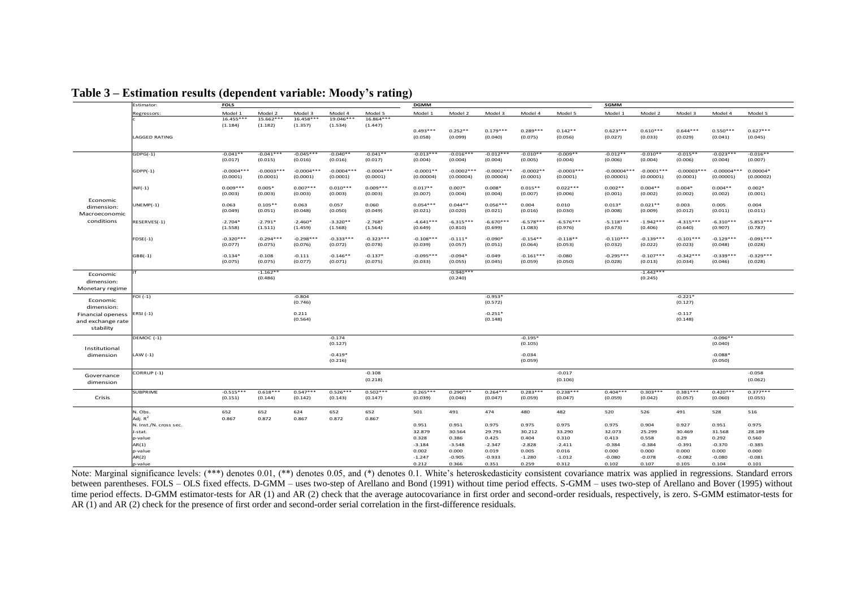|                   | Estimator:             | <b>FOLS</b>            |                          |                        |                        |                        | <b>DGMM</b>            |                        |                       |                  |                       | SGMM                   |                        |                        |                            |                        |
|-------------------|------------------------|------------------------|--------------------------|------------------------|------------------------|------------------------|------------------------|------------------------|-----------------------|------------------|-----------------------|------------------------|------------------------|------------------------|----------------------------|------------------------|
|                   | Regressors:            | Model 1                | Model 2                  | Model 3                | Model 4                | Model 5                | Model 1                | Model 2                | Model 3               | Model 4          | Model 5               | Model 1                | Model 2                | Model 3                | Model 4                    | Model 5                |
|                   |                        | $16.455***$            | 15.662***                | $16.458***$            | 19.046***              | 16.864***              |                        |                        |                       |                  |                       |                        |                        |                        |                            |                        |
|                   |                        | (1.184)                | (1.182)                  | (1.357)                | (1.534)                | (1.447)                |                        |                        |                       |                  |                       |                        |                        |                        |                            |                        |
|                   |                        |                        |                          |                        |                        |                        | $0.493***$             | $0.252**$              | $0.179***$            | $0.289***$       | $0.142**$             | $0.623***$             | $0.610***$             | $0.644***$             | $0.550***$                 | $0.627***$             |
|                   | <b>LAGGED RATING</b>   |                        |                          |                        |                        |                        | (0.058)                | (0.099)                | (0.040)               | (0.075)          | (0.056)               | (0.027)                | (0.033)                | (0.029)                | (0.041)                    | (0.045)                |
|                   |                        |                        |                          |                        |                        |                        |                        |                        |                       |                  |                       |                        |                        |                        |                            |                        |
|                   | $GDPG(-1)$             | $-0.041**$             | $-0.041***$              | $-0.045***$            | $-0.040**$             | $-0.041**$             | $-0.013***$            | $-0.016***$            | $-0.012***$           | $-0.010**$       | $-0.009**$            | $-0.012**$             | $-0.010**$             | $-0.015**$             | $-0.023***$                | $-0.016**$             |
|                   |                        | (0.017)                | (0.015)                  | (0.016)                | (0.016)                | (0.017)                | (0.004)                | (0.004)                | (0.004)               | (0.005)          | (0.004)               | (0.006)                | (0.004)                | (0.006)                | (0.004)                    | (0.007)                |
|                   |                        |                        |                          |                        |                        |                        |                        |                        |                       |                  |                       |                        |                        |                        |                            |                        |
|                   | $GDPP(-1)$             | $-0.0004***$           | $-0.0003***$<br>(0.0001) | $-0.0004***$           | $-0.0004***$           | $-0.0004***$           | $-0.0001**$            | $-0.0002***$           | $-0.0002***$          | $-0.0002**$      | $-0.0003***$          | $-0.00004***$          | $-0.0001***$           | $-0.00003***$          | $-0.00004***$<br>(0.00001) | $0.00004*$             |
|                   |                        | (0.0001)               |                          | (0.0001)               | (0.0001)               | (0.0001)               | (0.00004)              | (0.00004)              | (0.00004)             | (0.0001)         | (0.0001)              | (0.00001)              | (0.00001)              | (0.0001)               |                            | (0.00002)              |
|                   | $INF(-1)$              | $0.009***$             | $0.005*$                 | $0.007***$             | $0.010***$             | $0.009***$             | $0.017**$              | $0.007*$               | $0.008*$              | $0.015**$        | $0.022***$            | $0.002**$              | $0.004**$              | $0.004*$               | $0.004**$                  | $0.002*$               |
|                   |                        | (0.003)                | (0.003)                  | (0.003)                | (0.003)                | (0.003)                | (0.007)                | (0.004)                | (0.004)               | (0.007)          | (0.006)               | (0.001)                | (0.002)                | (0.002)                | (0.002)                    | (0.001)                |
| Economic          |                        |                        |                          |                        |                        |                        |                        |                        |                       |                  |                       |                        |                        |                        |                            |                        |
| dimension:        | $UNEMP(-1)$            | 0.063<br>(0.049)       | $0.105**$<br>(0.051)     | 0.063<br>(0.048)       | 0.057<br>(0.050)       | 0.060<br>(0.049)       | $0.054***$<br>(0.021)  | $0.044**$<br>(0.020)   | $0.056***$<br>(0.021) | 0.004<br>(0.016) | 0.010<br>(0.030)      | $0.013*$<br>(0.008)    | $0.021**$<br>(0.009)   | 0.003<br>(0.012)       | 0.005<br>(0.011)           | 0.004<br>(0.011)       |
| Macroeconomic     |                        |                        |                          |                        |                        |                        |                        |                        |                       |                  |                       |                        |                        |                        |                            |                        |
| conditions        | RESERVES(-1)           | $-2.704*$              | $-2.791*$                | $-2.460*$              | $-3.320**$             | $-2.768*$              | $-4.641***$            | $-6.315***$            | $-6.670***$           | $-6.578***$      | $-6.576***$           | $-5.118***$            | $-1.942***$            | $-4.315***$            | $-6.310***$                | $-5.853***$            |
|                   |                        | (1.558)                | (1.511)                  | (1.459)                | (1.568)                | (1.564)                | (0.649)                | (0.810)                | (0.699)               | (1.083)          | (0.976)               | (0.673)                | (0.406)                | (0.640)                | (0.907)                    | (0.787)                |
|                   |                        |                        |                          |                        |                        |                        |                        |                        |                       |                  |                       |                        |                        |                        |                            |                        |
|                   | $FDSE(-1)$             | $-0.320***$<br>(0.077) | $-0.294***$<br>(0.075)   | $-0.298***$<br>(0.076) | $-0.333***$<br>(0.072) | $-0.323***$<br>(0.078) | $-0.108***$<br>(0.039) | $-0.111*$<br>(0.057)   | $-0.090*$             | $-0.154**$       | $-0.118**$<br>(0.053) | $-0.110***$<br>(0.032) | $-0.139***$<br>(0.022) | $-0.101***$<br>(0.023) | $-0.129***$<br>(0.048)     | $-0.091***$<br>(0.028) |
|                   |                        |                        |                          |                        |                        |                        |                        |                        | (0.051)               | (0.064)          |                       |                        |                        |                        |                            |                        |
|                   | $GBB(-1)$              | $-0.134*$              | $-0.108$                 | $-0.111$               | $-0.146**$             | $-0.137*$              | $-0.095***$            | $-0.094*$              | $-0.049$              | $-0.161***$      | $-0.080$              | $-0.295***$            | $-0.107***$            | $-0.342***$            | $-0.339***$                | $-0.329***$            |
|                   |                        | (0.075)                | (0.075)                  | (0.077)                | (0.071)                | (0.075)                | (0.033)                | (0.055)                | (0.045)               | (0.059)          | (0.050)               | (0.028)                | (0.013)                | (0.034)                | (0.046)                    | (0.028)                |
|                   |                        |                        |                          |                        |                        |                        |                        |                        |                       |                  |                       |                        |                        |                        |                            |                        |
| Economic          | <b>IT</b>              |                        | $-1.162**$<br>(0.486)    |                        |                        |                        |                        | $-0.940***$<br>(0.240) |                       |                  |                       |                        | $-1.442***$<br>(0.245) |                        |                            |                        |
| dimension:        |                        |                        |                          |                        |                        |                        |                        |                        |                       |                  |                       |                        |                        |                        |                            |                        |
| Monetary regime   |                        |                        |                          |                        |                        |                        |                        |                        |                       |                  |                       |                        |                        |                        |                            |                        |
|                   | $FOI(-1)$              |                        |                          | $-0.804$               |                        |                        |                        |                        | $-0.953*$             |                  |                       |                        |                        | $-0.221*$              |                            |                        |
| Economic          |                        |                        |                          | (0.746)                |                        |                        |                        |                        | (0.572)               |                  |                       |                        |                        | (0.127)                |                            |                        |
| dimension:        |                        |                        |                          |                        |                        |                        |                        |                        |                       |                  |                       |                        |                        |                        |                            |                        |
| Financial openess | ERSI (-1)              |                        |                          | 0.211                  |                        |                        |                        |                        | $-0.251*$             |                  |                       |                        |                        | $-0.117$               |                            |                        |
| and exchange rate |                        |                        |                          | (0.564)                |                        |                        |                        |                        | (0.148)               |                  |                       |                        |                        | (0.148)                |                            |                        |
| stability         |                        |                        |                          |                        |                        |                        |                        |                        |                       |                  |                       |                        |                        |                        |                            |                        |
|                   | DEMOC (-1)             |                        |                          |                        | $-0.174$               |                        |                        |                        |                       | $-0.195*$        |                       |                        |                        |                        | $-0.096**$                 |                        |
|                   |                        |                        |                          |                        | (0.127)                |                        |                        |                        |                       | (0.105)          |                       |                        |                        |                        | (0.040)                    |                        |
| Institutional     |                        |                        |                          |                        |                        |                        |                        |                        |                       |                  |                       |                        |                        |                        |                            |                        |
| dimension         | LAW $(-1)$             |                        |                          |                        | $-0.419*$              |                        |                        |                        |                       | $-0.034$         |                       |                        |                        |                        | $-0.088*$                  |                        |
|                   |                        |                        |                          |                        | (0.216)                |                        |                        |                        |                       | (0.059)          |                       |                        |                        |                        | (0.050)                    |                        |
|                   | CORRUP (-1)            |                        |                          |                        |                        | $-0.108$               |                        |                        |                       |                  | $-0.017$              |                        |                        |                        |                            | $-0.058$               |
| Governance        |                        |                        |                          |                        |                        | (0.218)                |                        |                        |                       |                  | (0.106)               |                        |                        |                        |                            | (0.062)                |
| dimension         |                        |                        |                          |                        |                        |                        |                        |                        |                       |                  |                       |                        |                        |                        |                            |                        |
|                   | <b>SUBPRIME</b>        | $-0.515***$            | $0.618***$               | $0.547***$             | $0.526***$             | $0.502***$             | $0.265***$             | $0.290***$             | $0.264***$            | $0.283***$       | $0.238***$            | $0.404***$             | $0.303***$             | $0.381***$             | $0.420***$                 | $0.377***$             |
| Crisis            |                        | (0.151)                | (0.144)                  | (0.142)                | (0.143)                | (0.147)                | (0.039)                | (0.046)                | (0.047)               | (0.059)          | (0.047)               | (0.059)                | (0.042)                | (0.057)                | (0.060)                    | (0.055)                |
|                   |                        |                        |                          |                        |                        |                        |                        |                        |                       |                  |                       |                        |                        |                        |                            |                        |
|                   | N. Obs.                | 652                    | 652                      | 624                    | 652                    | 652                    | 501                    | 491                    | 474                   | 480              | 482                   | 520                    | 526                    | 491                    | 528                        | 516                    |
|                   | Adj. $R^2$             | 0.867                  | 0.872                    | 0.867                  | 0.872                  | 0.867                  |                        |                        |                       |                  |                       |                        |                        |                        |                            |                        |
|                   | N. Inst./N. cross sec. |                        |                          |                        |                        |                        | 0.951                  | 0.951                  | 0.975                 | 0.975            | 0.975                 | 0.975                  | 0.904                  | 0.927                  | 0.951                      | 0.975                  |
|                   | J-stat.                |                        |                          |                        |                        |                        | 32.879                 | 30.564                 | 29.791                | 30.212           | 33,290                | 32.073                 | 25.299                 | 30.469                 | 31.568                     | 28.189                 |
|                   | p-value                |                        |                          |                        |                        |                        | 0.328                  | 0.386                  | 0.425                 | 0.404            | 0.310                 | 0.413                  | 0.558                  | 0.29                   | 0.292                      | 0.560                  |
|                   | AR(1)                  |                        |                          |                        |                        |                        | $-3.184$               | $-3.548$               | $-2.347$              | $-2.828$         | $-2.411$              | $-0.384$               | $-0.384$               | $-0.391$               | $-0.370$                   | $-0.385$               |
|                   | p-value                |                        |                          |                        |                        |                        | 0.002                  | 0.000                  | 0.019                 | 0.005            | 0.016                 | 0.000                  | 0.000                  | 0.000                  | 0.000                      | 0.000                  |
|                   | AR(2)                  |                        |                          |                        |                        |                        | $-1.247$               | $-0.905$               | $-0.933$              | $-1.280$         | $-1.012$              | $-0.080$               | $-0.078$               | $-0.082$               | $-0.080$                   | $-0.081$               |
|                   | p-value                |                        |                          |                        |                        |                        | 0.212                  | 0.366                  | 0.351                 | 0.259            | 0.312                 | 0.102                  | 0.107                  | 0.105                  | 0.104                      | 0.101                  |

**Table 3 – Estimation results (dependent variable: Moody's rating)**

Note: Marginal significance levels: (\*\*\*) denotes 0.01, (\*\*) denotes 0.05, and (\*) denotes 0.1. White's heteroskedasticity consistent covariance matrix was applied in regressions. Standard errors between parentheses. FOLS – OLS fixed effects. D-GMM – uses two-step of Arellano and Bond (1991) without time period effects. S-GMM – uses two-step of Arellano and Bover (1995) without time period effects. D-GMM estimator-tests for AR (1) and AR (2) check that the average autocovariance in first order and second-order residuals, respectively, is zero. S-GMM estimator-tests for AR (1) and AR (2) check for the presence of first order and second-order serial correlation in the first-difference residuals.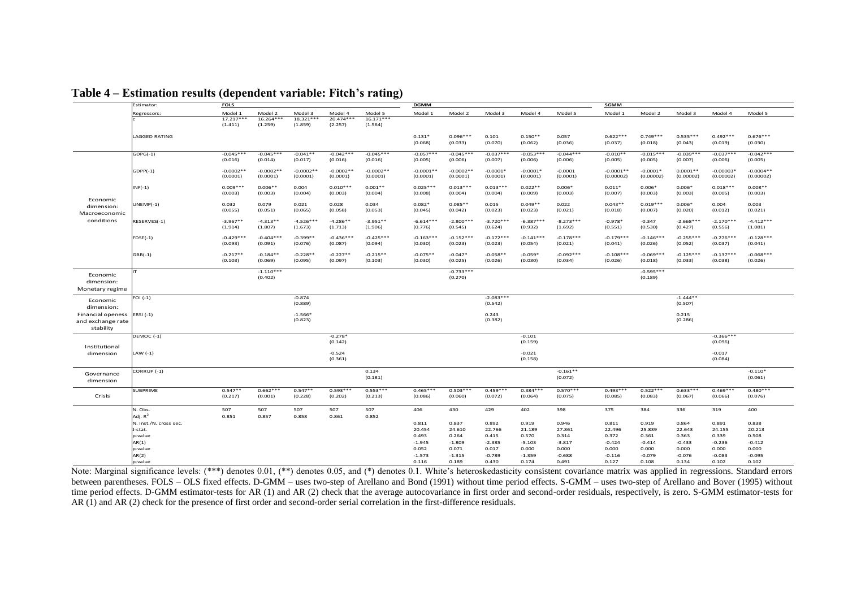|                        | Estimator:             | <b>FOLS</b>           |                       |                       |                       |                       | <b>DGMM</b>           |                       |                       |                      |                        | SGMM                   |                        |                        |                        |                        |
|------------------------|------------------------|-----------------------|-----------------------|-----------------------|-----------------------|-----------------------|-----------------------|-----------------------|-----------------------|----------------------|------------------------|------------------------|------------------------|------------------------|------------------------|------------------------|
|                        | Regressors:            | Model 1               | Model 2               | Model 3               | Model 4               | Model 5               | Model 1               | Model 2               | Model 3               | Model 4              | Model 5                | Model 1                | Model 2                | Model 3                | Model 4                | Model 5                |
|                        |                        | $17.217***$           | $16.264***$           | 18.321***             | $20.474***$           | $16.171***$           |                       |                       |                       |                      |                        |                        |                        |                        |                        |                        |
|                        |                        | (1.411)               | (1.259)               | (1.859)               | (2.257)               | (1.564)               |                       |                       |                       |                      |                        |                        |                        |                        |                        |                        |
|                        |                        |                       |                       |                       |                       |                       |                       |                       |                       |                      |                        |                        | $0.749***$             | $0.535***$             | $0.492***$             | $0.676***$             |
|                        | <b>LAGGED RATING</b>   |                       |                       |                       |                       |                       | $0.131*$<br>(0.068)   | $0.096***$<br>(0.033) | 0.101<br>(0.070)      | $0.150**$<br>(0.062) | 0.057<br>(0.036)       | $0.622***$<br>(0.037)  | (0.018)                | (0.043)                | (0.019)                | (0.030)                |
|                        |                        |                       |                       |                       |                       |                       |                       |                       |                       |                      |                        |                        |                        |                        |                        |                        |
|                        | $GDPG(-1)$             | $-0.045***$           | $-0.045***$           | $-0.041**$            | $-0.042***$           | $-0.045***$           | $-0.057***$           | $-0.045***$           | $-0.037***$           | $-0.053***$          | $-0.044***$            | $-0.010**$             | $-0.015***$            | $-0.039***$            | $-0.037***$            | $-0.042***$            |
|                        |                        | (0.016)               | (0.014)               | (0.017)               | (0.016)               | (0.016)               | (0.005)               | (0.006)               | (0.007)               | (0.006)              | (0.006)                | (0.005)                | (0.005)                | (0.007)                | (0.006)                | (0.005)                |
|                        | $GDPP(-1)$             | $-0.0002**$           | $-0.0002**$           | $-0.0002**$           | $-0.0002**$           | $-0.0002**$           | $-0.0001**$           | $-0.0002**$           | $-0.0001*$            | $-0.0001*$           | $-0.0001$              | $-0.0001**$            | $-0.0001*$             | $0.0001**$             | $-0.00003*$            | $-0.0004**$            |
|                        |                        | (0.0001)              | (0.0001)              | (0.0001)              | (0.0001)              | (0.0001)              | (0.0001)              | (0.0001)              | (0.0001)              | (0.0001)             | (0.0001)               | (0.00002)              | (0.00002)              | (0.00002)              | (0.00002)              | (0.00002)              |
|                        |                        |                       |                       |                       |                       |                       |                       |                       |                       |                      |                        |                        |                        |                        |                        |                        |
|                        | $INF(-1)$              | $0.009***$            | $0.006**$             | 0.004                 | $0.010***$            | $0.001**$             | $0.025***$            | $0.013***$            | $0.013***$            | $0.022**$            | $0.006*$               | $0.011*$               | $0.006*$               | $0.006*$               | $0.018***$             | $0.008**$              |
|                        |                        | (0.003)               | (0.003)               | (0.004)               | (0.003)               | (0.004)               | (0.008)               | (0.004)               | (0.004)               | (0.009)              | (0.003)                | (0.007)                | (0.003)                | (0.003)                | (0.005)                | (0.003)                |
| Economic               | $UNEMP(-1)$            | 0.032                 | 0.079                 | 0.021                 | 0.028                 | 0.034                 | $0.082*$              | $0.085**$             | 0.015                 | $0.049**$            | 0.022                  | $0.043**$              | $0.019***$             | $0.006*$               | 0.004                  | 0.003                  |
| dimension:             |                        | (0.055)               | (0.051)               | (0.065)               | (0.058)               | (0.053)               | (0.045)               | (0.042)               | (0.023)               | (0.023)              | (0.021)                | (0.018)                | (0.007)                | (0.020)                | (0.012)                | (0.021)                |
| Macroeconomic          |                        |                       |                       |                       |                       |                       |                       |                       |                       |                      |                        |                        |                        |                        |                        |                        |
| conditions             | RESERVES(-1)           | $-3.967**$            | $-4.313**$            | $-4.526***$           | $-4.286**$            | $-3.951**$            | $-6.614***$           | $-2.800***$           | $-3.720***$           | $-6.387***$          | $-8.273***$            | $-0.978*$              | $-0.347$               | $-2.668***$            | $-2.170***$            | $-4.412***$            |
|                        |                        | (1.914)               | (1.807)               | (1.673)               | (1.713)               | (1.906)               | (0.776)               | (0.545)               | (0.624)               | (0.932)              | (1.692)                | (0.551)                | (0.530)                | (0.427)                | (0.556)                | (1.081)                |
|                        | $FDSE(-1)$             | $-0.429***$           | $-0.404***$           | $-0.399**$            | $-0.436***$           | $-0.425***$           | $-0.163***$           | $-0.152***$           | $-0.172***$           | $-0.141***$          | $-0.178***$            | $-0.179***$            | $-0.146***$            | $-0.255***$            | $-0.276***$            | $-0.128***$            |
|                        |                        | (0.093)               | (0.091)               | (0.076)               | (0.087)               | (0.094)               | (0.030)               | (0.023)               | (0.023)               | (0.054)              | (0.021)                | (0.041)                | (0.026)                | (0.052)                | (0.037)                | (0.041)                |
|                        |                        |                       |                       |                       |                       |                       |                       |                       |                       |                      |                        |                        |                        |                        |                        |                        |
|                        | $GBB(-1)$              | $-0.217**$<br>(0.103) | $-0.184**$<br>(0.069) | $-0.228**$<br>(0.095) | $-0.227**$<br>(0.097) | $-0.215**$<br>(0.103) | $-0.075**$<br>(0.030) | $-0.047*$<br>(0.025)  | $-0.058**$<br>(0.026) | $-0.059*$<br>(0.030) | $-0.092***$<br>(0.034) | $-0.108***$<br>(0.026) | $-0.069***$<br>(0.018) | $-0.125***$<br>(0.033) | $-0.137***$<br>(0.038) | $-0.068***$<br>(0.026) |
|                        |                        |                       |                       |                       |                       |                       |                       |                       |                       |                      |                        |                        |                        |                        |                        |                        |
|                        |                        |                       | $-1.110***$           |                       |                       |                       |                       | $-0.733***$           |                       |                      |                        |                        | $-0.595***$            |                        |                        |                        |
| Economic<br>dimension: |                        |                       | (0.402)               |                       |                       |                       |                       | (0.270)               |                       |                      |                        |                        | (0.189)                |                        |                        |                        |
|                        |                        |                       |                       |                       |                       |                       |                       |                       |                       |                      |                        |                        |                        |                        |                        |                        |
| Monetary regime        |                        |                       |                       |                       |                       |                       |                       |                       |                       |                      |                        |                        |                        |                        |                        |                        |
| Economic               | FOI $(-1)$             |                       |                       | $-0.874$              |                       |                       |                       |                       | $-2.083***$           |                      |                        |                        |                        | $-1.444**$             |                        |                        |
| dimension:             |                        |                       |                       | (0.889)               |                       |                       |                       |                       | (0.542)               |                      |                        |                        |                        | (0.507)                |                        |                        |
| Financial openess      | ERSI $(-1)$            |                       |                       | $-1.566*$             |                       |                       |                       |                       | 0.243                 |                      |                        |                        |                        | 0.215                  |                        |                        |
| and exchange rate      |                        |                       |                       | (0.823)               |                       |                       |                       |                       | (0.382)               |                      |                        |                        |                        | (0.286)                |                        |                        |
| stability              |                        |                       |                       |                       |                       |                       |                       |                       |                       |                      |                        |                        |                        |                        |                        |                        |
|                        | DEMOC (-1)             |                       |                       |                       | $-0.278*$             |                       |                       |                       |                       | $-0.101$             |                        |                        |                        |                        | $-0.366***$            |                        |
|                        |                        |                       |                       |                       | (0.142)               |                       |                       |                       |                       | (0.159)              |                        |                        |                        |                        | (0.096)                |                        |
| Institutional          |                        |                       |                       |                       |                       |                       |                       |                       |                       |                      |                        |                        |                        |                        |                        |                        |
| dimension              | LAW $(-1)$             |                       |                       |                       | $-0.524$              |                       |                       |                       |                       | $-0.021$             |                        |                        |                        |                        | $-0.017$               |                        |
|                        |                        |                       |                       |                       | (0.361)               |                       |                       |                       |                       | (0.158)              |                        |                        |                        |                        | (0.084)                |                        |
|                        | CORRUP (-1)            |                       |                       |                       |                       | 0.134                 |                       |                       |                       |                      | $-0.161**$             |                        |                        |                        |                        | $-0.110*$              |
| Governance             |                        |                       |                       |                       |                       | (0.181)               |                       |                       |                       |                      | (0.072)                |                        |                        |                        |                        | (0.061)                |
| dimension              |                        |                       |                       |                       |                       |                       |                       |                       |                       |                      |                        |                        |                        |                        |                        |                        |
|                        | <b>SUBPRIME</b>        | $0.547**$             | $0.662***$            | $0.547**$             | $0.593***$            | $0.553***$            | $0.465***$            | $0.503***$            | $0.459***$            | $0.384***$           | $0.570***$             | $0.493***$             | $0.522***$             | $0.633***$             | $0.469***$             | $0.480***$             |
| Crisis                 |                        | (0.217)               | (0.001)               | (0.228)               | (0.202)               | (0.213)               | (0.086)               | (0.060)               | (0.072)               | (0.064)              | (0.075)                | (0.085)                | (0.083)                | (0.067)                | (0.066)                | (0.076)                |
|                        |                        |                       |                       |                       |                       |                       |                       |                       |                       |                      |                        |                        |                        |                        |                        |                        |
|                        | N. Obs.                | 507                   | 507                   | 507                   | 507                   | 507                   | 406                   | 430                   | 429                   | 402                  | 398                    | 375                    | 384                    | 336                    | 319                    | 400                    |
|                        | Adj. $R^2$             | 0.851                 | 0.857                 | 0.858                 | 0.861                 | 0.852                 |                       |                       |                       |                      |                        |                        |                        |                        |                        |                        |
|                        | N. Inst./N. cross sec. |                       |                       |                       |                       |                       | 0.811                 | 0.837                 | 0.892                 | 0.919                | 0.946                  | 0.811                  | 0.919                  | 0.864                  | 0.891                  | 0.838                  |
|                        | J-stat.                |                       |                       |                       |                       |                       | 20.454                | 24.610                | 22.766                | 21.189               | 27.861                 | 22.496                 | 25.839                 | 22.643                 | 24.155                 | 20.213                 |
|                        | p-value                |                       |                       |                       |                       |                       | 0.493                 | 0.264                 | 0.415                 | 0.570                | 0.314                  | 0.372                  | 0.361                  | 0.363                  | 0.339                  | 0.508                  |
|                        | AR(1)                  |                       |                       |                       |                       |                       | $-1.945$              | $-1.809$              | $-2.385$              | $-5.103$             | $-3.817$               | $-0.424$               | $-0.414$               | $-0.433$               | $-0.236$               | $-0.412$               |
|                        | p-value                |                       |                       |                       |                       |                       | 0.052<br>$-1.573$     | 0.071<br>$-1.315$     | 0.017<br>$-0.789$     | 0.000<br>$-1.359$    | 0.000<br>$-0.688$      | 0.000<br>$-0.116$      | 0.000<br>$-0.079$      | 0.000<br>$-0.076$      | 0.000<br>$-0.083$      | 0.000<br>$-0.095$      |
|                        | AR(2)<br>p-value       |                       |                       |                       |                       |                       | 0.116                 | 0.189                 | 0.430                 | 0.174                | 0.491                  | 0.127                  | 0.108                  | 0.134                  | 0.102                  | 0.102                  |
|                        |                        |                       |                       |                       |                       |                       |                       |                       |                       |                      |                        |                        |                        |                        |                        |                        |

**Table 4 – Estimation results (dependent variable: Fitch's rating)**

Note: Marginal significance levels: (\*\*\*) denotes 0.01, (\*\*) denotes 0.05, and (\*) denotes 0.1. White's heteroskedasticity consistent covariance matrix was applied in regressions. Standard errors between parentheses. FOLS – OLS fixed effects. D-GMM – uses two-step of Arellano and Bond (1991) without time period effects. S-GMM – uses two-step of Arellano and Bover (1995) without time period effects. D-GMM estimator-tests for AR (1) and AR (2) check that the average autocovariance in first order and second-order residuals, respectively, is zero. S-GMM estimator-tests for AR (1) and AR (2) check for the presence of first order and second-order serial correlation in the first-difference residuals.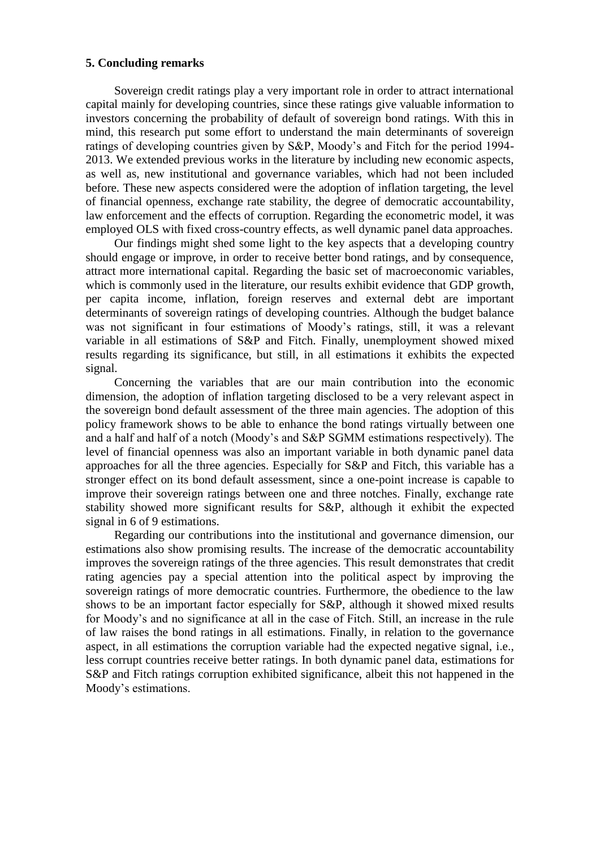# **5. Concluding remarks**

Sovereign credit ratings play a very important role in order to attract international capital mainly for developing countries, since these ratings give valuable information to investors concerning the probability of default of sovereign bond ratings. With this in mind, this research put some effort to understand the main determinants of sovereign ratings of developing countries given by S&P, Moody's and Fitch for the period 1994- 2013. We extended previous works in the literature by including new economic aspects, as well as, new institutional and governance variables, which had not been included before. These new aspects considered were the adoption of inflation targeting, the level of financial openness, exchange rate stability, the degree of democratic accountability, law enforcement and the effects of corruption. Regarding the econometric model, it was employed OLS with fixed cross-country effects, as well dynamic panel data approaches.

Our findings might shed some light to the key aspects that a developing country should engage or improve, in order to receive better bond ratings, and by consequence, attract more international capital. Regarding the basic set of macroeconomic variables, which is commonly used in the literature, our results exhibit evidence that GDP growth, per capita income, inflation, foreign reserves and external debt are important determinants of sovereign ratings of developing countries. Although the budget balance was not significant in four estimations of Moody's ratings, still, it was a relevant variable in all estimations of S&P and Fitch. Finally, unemployment showed mixed results regarding its significance, but still, in all estimations it exhibits the expected signal.

Concerning the variables that are our main contribution into the economic dimension, the adoption of inflation targeting disclosed to be a very relevant aspect in the sovereign bond default assessment of the three main agencies. The adoption of this policy framework shows to be able to enhance the bond ratings virtually between one and a half and half of a notch (Moody's and S&P SGMM estimations respectively). The level of financial openness was also an important variable in both dynamic panel data approaches for all the three agencies. Especially for S&P and Fitch, this variable has a stronger effect on its bond default assessment, since a one-point increase is capable to improve their sovereign ratings between one and three notches. Finally, exchange rate stability showed more significant results for S&P, although it exhibit the expected signal in 6 of 9 estimations.

Regarding our contributions into the institutional and governance dimension, our estimations also show promising results. The increase of the democratic accountability improves the sovereign ratings of the three agencies. This result demonstrates that credit rating agencies pay a special attention into the political aspect by improving the sovereign ratings of more democratic countries. Furthermore, the obedience to the law shows to be an important factor especially for S&P, although it showed mixed results for Moody's and no significance at all in the case of Fitch. Still, an increase in the rule of law raises the bond ratings in all estimations. Finally, in relation to the governance aspect, in all estimations the corruption variable had the expected negative signal, i.e., less corrupt countries receive better ratings. In both dynamic panel data, estimations for S&P and Fitch ratings corruption exhibited significance, albeit this not happened in the Moody's estimations.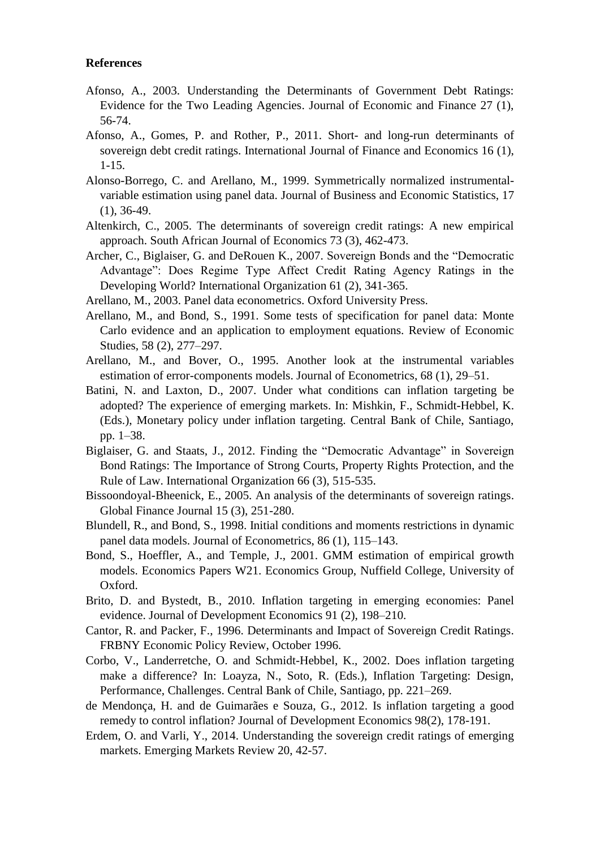# **References**

- Afonso, A., 2003. Understanding the Determinants of Government Debt Ratings: Evidence for the Two Leading Agencies. Journal of Economic and Finance 27 (1), 56-74.
- Afonso, A., Gomes, P. and Rother, P., 2011. Short- and long-run determinants of sovereign debt credit ratings. International Journal of Finance and Economics 16 (1), 1-15.
- Alonso-Borrego, C. and Arellano, M., 1999. Symmetrically normalized instrumentalvariable estimation using panel data. Journal of Business and Economic Statistics, 17 (1), 36-49.
- Altenkirch, C., 2005. The determinants of sovereign credit ratings: A new empirical approach. South African Journal of Economics 73 (3), 462-473.
- Archer, C., Biglaiser, G. and DeRouen K., 2007. Sovereign Bonds and the "Democratic Advantage": Does Regime Type Affect Credit Rating Agency Ratings in the Developing World? International Organization 61 (2), 341-365.
- Arellano, M., 2003. Panel data econometrics. Oxford University Press.
- Arellano, M., and Bond, S., 1991. Some tests of specification for panel data: Monte Carlo evidence and an application to employment equations. Review of Economic Studies, 58 (2), 277–297.
- Arellano, M., and Bover, O., 1995. Another look at the instrumental variables estimation of error-components models. Journal of Econometrics, 68 (1), 29–51.
- Batini, N. and Laxton, D., 2007. Under what conditions can inflation targeting be adopted? The experience of emerging markets. In: Mishkin, F., Schmidt-Hebbel, K. (Eds.), Monetary policy under inflation targeting. Central Bank of Chile, Santiago, pp. 1–38.
- Biglaiser, G. and Staats, J., 2012. Finding the "Democratic Advantage" in Sovereign Bond Ratings: The Importance of Strong Courts, Property Rights Protection, and the Rule of Law. International Organization 66 (3), 515-535.
- Bissoondoyal-Bheenick, E., 2005. An analysis of the determinants of sovereign ratings. Global Finance Journal 15 (3), 251-280.
- Blundell, R., and Bond, S., 1998. Initial conditions and moments restrictions in dynamic panel data models. Journal of Econometrics, 86 (1), 115–143.
- Bond, S., Hoeffler, A., and Temple, J., 2001. GMM estimation of empirical growth models. Economics Papers W21. Economics Group, Nuffield College, University of Oxford.
- Brito, D. and Bystedt, B., 2010. Inflation targeting in emerging economies: Panel evidence. Journal of Development Economics 91 (2), 198–210.
- Cantor, R. and Packer, F., 1996. Determinants and Impact of Sovereign Credit Ratings. FRBNY Economic Policy Review, October 1996.
- Corbo, V., Landerretche, O. and Schmidt-Hebbel, K., 2002. Does inflation targeting make a difference? In: Loayza, N., Soto, R. (Eds.), Inflation Targeting: Design, Performance, Challenges. Central Bank of Chile, Santiago, pp. 221–269.
- de Mendonça, H. and de Guimarães e Souza, G., 2012. Is inflation targeting a good remedy to control inflation? Journal of Development Economics 98(2), 178-191.
- Erdem, O. and Varli, Y., 2014. Understanding the sovereign credit ratings of emerging markets. Emerging Markets Review 20, 42-57.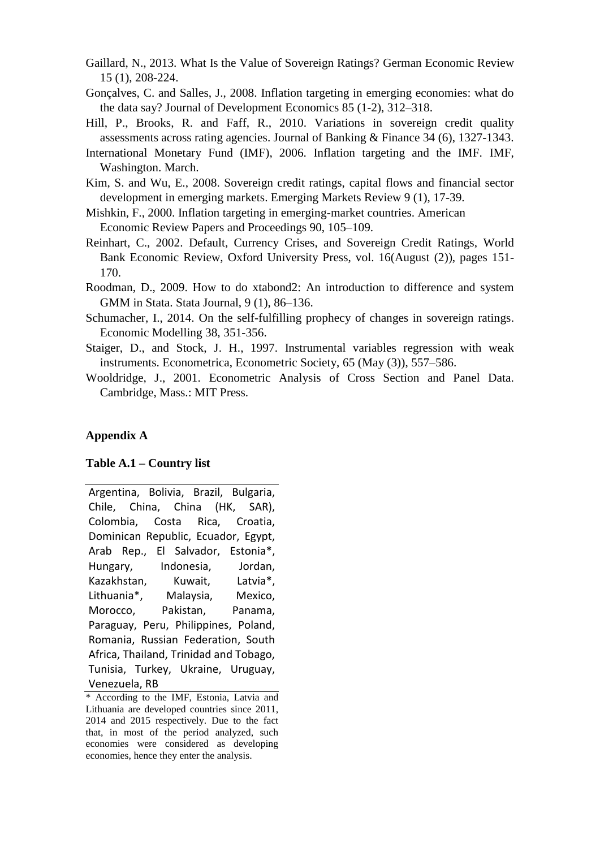- Gaillard, N., 2013. What Is the Value of Sovereign Ratings? German Economic Review 15 (1), 208-224.
- Gonçalves, C. and Salles, J., 2008. Inflation targeting in emerging economies: what do the data say? Journal of Development Economics 85 (1-2), 312–318.
- Hill, P., Brooks, R. and Faff, R., 2010. Variations in sovereign credit quality assessments across rating agencies. Journal of Banking & Finance 34 (6), 1327-1343.
- International Monetary Fund (IMF), 2006. Inflation targeting and the IMF. IMF, Washington. March.
- Kim, S. and Wu, E., 2008. Sovereign credit ratings, capital flows and financial sector development in emerging markets. Emerging Markets Review 9 (1), 17-39.
- Mishkin, F., 2000. Inflation targeting in emerging-market countries. American Economic Review Papers and Proceedings 90, 105–109.
- Reinhart, C., 2002. Default, Currency Crises, and Sovereign Credit Ratings, World Bank Economic Review, Oxford University Press, vol. 16(August (2)), pages 151- 170.
- Roodman, D., 2009. How to do xtabond2: An introduction to difference and system GMM in Stata. Stata Journal, 9 (1), 86–136.
- Schumacher, I., 2014. On the self-fulfilling prophecy of changes in sovereign ratings. Economic Modelling 38, 351-356.
- Staiger, D., and Stock, J. H., 1997. Instrumental variables regression with weak instruments. Econometrica, Econometric Society, 65 (May (3)), 557–586.
- Wooldridge, J., 2001. Econometric Analysis of Cross Section and Panel Data. Cambridge, Mass.: MIT Press.

# **Appendix A**

## **Table A.1 – Country list**

Argentina, Bolivia, Brazil, Bulgaria, Chile, China, China (HK, SAR), Colombia, Costa Rica, Croatia, Dominican Republic, Ecuador, Egypt, Arab Rep., El Salvador, Estonia\*, Hungary, Indonesia, Jordan, Kazakhstan, Kuwait, Latvia\*, Lithuania\*, Malaysia, Mexico, Morocco, Pakistan, Panama, Paraguay, Peru, Philippines, Poland, Romania, Russian Federation, South Africa, Thailand, Trinidad and Tobago, Tunisia, Turkey, Ukraine, Uruguay, Venezuela, RB

<sup>\*</sup> According to the IMF, Estonia, Latvia and Lithuania are developed countries since 2011, 2014 and 2015 respectively. Due to the fact that, in most of the period analyzed, such economies were considered as developing economies, hence they enter the analysis.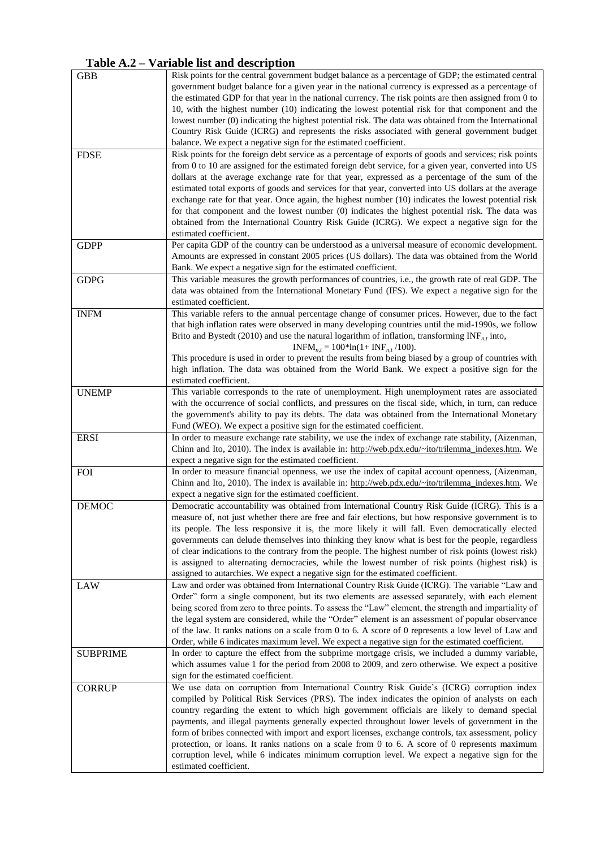# **Table A.2 – Variable list and description**

| <b>GBB</b>      | Risk points for the central government budget balance as a percentage of GDP; the estimated central                                                                                                 |
|-----------------|-----------------------------------------------------------------------------------------------------------------------------------------------------------------------------------------------------|
|                 | government budget balance for a given year in the national currency is expressed as a percentage of                                                                                                 |
|                 | the estimated GDP for that year in the national currency. The risk points are then assigned from 0 to                                                                                               |
|                 | 10, with the highest number (10) indicating the lowest potential risk for that component and the                                                                                                    |
|                 | lowest number (0) indicating the highest potential risk. The data was obtained from the International                                                                                               |
|                 | Country Risk Guide (ICRG) and represents the risks associated with general government budget                                                                                                        |
|                 | balance. We expect a negative sign for the estimated coefficient.                                                                                                                                   |
| <b>FDSE</b>     | Risk points for the foreign debt service as a percentage of exports of goods and services; risk points                                                                                              |
|                 | from 0 to 10 are assigned for the estimated foreign debt service, for a given year, converted into US                                                                                               |
|                 | dollars at the average exchange rate for that year, expressed as a percentage of the sum of the                                                                                                     |
|                 | estimated total exports of goods and services for that year, converted into US dollars at the average                                                                                               |
|                 | exchange rate for that year. Once again, the highest number (10) indicates the lowest potential risk                                                                                                |
|                 | for that component and the lowest number (0) indicates the highest potential risk. The data was                                                                                                     |
|                 | obtained from the International Country Risk Guide (ICRG). We expect a negative sign for the                                                                                                        |
|                 | estimated coefficient.                                                                                                                                                                              |
| <b>GDPP</b>     | Per capita GDP of the country can be understood as a universal measure of economic development.                                                                                                     |
|                 | Amounts are expressed in constant 2005 prices (US dollars). The data was obtained from the World                                                                                                    |
|                 | Bank. We expect a negative sign for the estimated coefficient.                                                                                                                                      |
| <b>GDPG</b>     | This variable measures the growth performances of countries, i.e., the growth rate of real GDP. The                                                                                                 |
|                 | data was obtained from the International Monetary Fund (IFS). We expect a negative sign for the                                                                                                     |
|                 | estimated coefficient.                                                                                                                                                                              |
| <b>INFM</b>     | This variable refers to the annual percentage change of consumer prices. However, due to the fact                                                                                                   |
|                 | that high inflation rates were observed in many developing countries until the mid-1990s, we follow                                                                                                 |
|                 | Brito and Bystedt (2010) and use the natural logarithm of inflation, transforming $INF_{n,t}$ into,                                                                                                 |
|                 | $INFM_{n,t} = 100*ln(1+ INF_{n,t}/100).$                                                                                                                                                            |
|                 | This procedure is used in order to prevent the results from being biased by a group of countries with                                                                                               |
|                 | high inflation. The data was obtained from the World Bank. We expect a positive sign for the                                                                                                        |
|                 | estimated coefficient.                                                                                                                                                                              |
| <b>UNEMP</b>    | This variable corresponds to the rate of unemployment. High unemployment rates are associated                                                                                                       |
|                 | with the occurrence of social conflicts, and pressures on the fiscal side, which, in turn, can reduce                                                                                               |
|                 | the government's ability to pay its debts. The data was obtained from the International Monetary                                                                                                    |
|                 | Fund (WEO). We expect a positive sign for the estimated coefficient.                                                                                                                                |
| <b>ERSI</b>     | In order to measure exchange rate stability, we use the index of exchange rate stability, (Aizenman,                                                                                                |
|                 | Chinn and Ito, 2010). The index is available in: http://web.pdx.edu/~ito/trilemma_indexes.htm. We                                                                                                   |
|                 | expect a negative sign for the estimated coefficient.                                                                                                                                               |
| <b>FOI</b>      | In order to measure financial openness, we use the index of capital account openness, (Aizenman,                                                                                                    |
|                 | Chinn and Ito, 2010). The index is available in: http://web.pdx.edu/~ito/trilemma_indexes.htm. We                                                                                                   |
|                 | expect a negative sign for the estimated coefficient.                                                                                                                                               |
| <b>DEMOC</b>    | Democratic accountability was obtained from International Country Risk Guide (ICRG). This is a                                                                                                      |
|                 | measure of, not just whether there are free and fair elections, but how responsive government is to                                                                                                 |
|                 | its people. The less responsive it is, the more likely it will fall. Even democratically elected                                                                                                    |
|                 | governments can delude themselves into thinking they know what is best for the people, regardless                                                                                                   |
|                 | of clear indications to the contrary from the people. The highest number of risk points (lowest risk)                                                                                               |
|                 | is assigned to alternating democracies, while the lowest number of risk points (highest risk) is                                                                                                    |
|                 | assigned to autarchies. We expect a negative sign for the estimated coefficient.                                                                                                                    |
| LAW             | Law and order was obtained from International Country Risk Guide (ICRG). The variable "Law and                                                                                                      |
|                 | Order" form a single component, but its two elements are assessed separately, with each element                                                                                                     |
|                 | being scored from zero to three points. To assess the "Law" element, the strength and impartiality of                                                                                               |
|                 | the legal system are considered, while the "Order" element is an assessment of popular observance                                                                                                   |
|                 | of the law. It ranks nations on a scale from 0 to 6. A score of 0 represents a low level of Law and                                                                                                 |
| <b>SUBPRIME</b> | Order, while 6 indicates maximum level. We expect a negative sign for the estimated coefficient.<br>In order to capture the effect from the subprime mortgage crisis, we included a dummy variable, |
|                 | which assumes value 1 for the period from 2008 to 2009, and zero otherwise. We expect a positive                                                                                                    |
|                 | sign for the estimated coefficient.                                                                                                                                                                 |
| <b>CORRUP</b>   | We use data on corruption from International Country Risk Guide's (ICRG) corruption index                                                                                                           |
|                 | compiled by Political Risk Services (PRS). The index indicates the opinion of analysts on each                                                                                                      |
|                 | country regarding the extent to which high government officials are likely to demand special                                                                                                        |
|                 | payments, and illegal payments generally expected throughout lower levels of government in the                                                                                                      |
|                 | form of bribes connected with import and export licenses, exchange controls, tax assessment, policy                                                                                                 |
|                 | protection, or loans. It ranks nations on a scale from 0 to 6. A score of 0 represents maximum                                                                                                      |
|                 | corruption level, while 6 indicates minimum corruption level. We expect a negative sign for the                                                                                                     |
|                 | estimated coefficient.                                                                                                                                                                              |
|                 |                                                                                                                                                                                                     |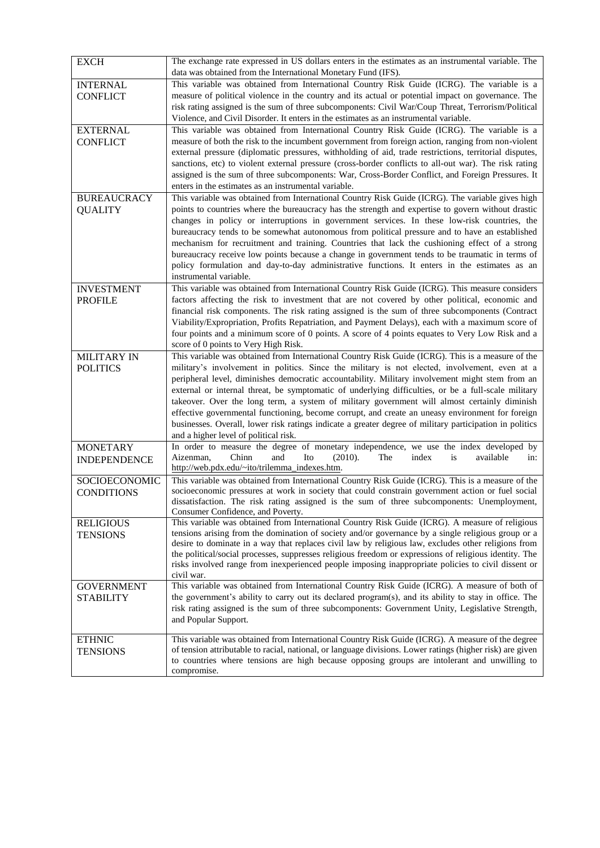| <b>EXCH</b>         | The exchange rate expressed in US dollars enters in the estimates as an instrumental variable. The<br>data was obtained from the International Monetary Fund (IFS). |
|---------------------|---------------------------------------------------------------------------------------------------------------------------------------------------------------------|
| <b>INTERNAL</b>     | This variable was obtained from International Country Risk Guide (ICRG). The variable is a                                                                          |
| <b>CONFLICT</b>     | measure of political violence in the country and its actual or potential impact on governance. The                                                                  |
|                     | risk rating assigned is the sum of three subcomponents: Civil War/Coup Threat, Terrorism/Political                                                                  |
|                     | Violence, and Civil Disorder. It enters in the estimates as an instrumental variable.                                                                               |
| <b>EXTERNAL</b>     | This variable was obtained from International Country Risk Guide (ICRG). The variable is a                                                                          |
| <b>CONFLICT</b>     | measure of both the risk to the incumbent government from foreign action, ranging from non-violent                                                                  |
|                     | external pressure (diplomatic pressures, withholding of aid, trade restrictions, territorial disputes,                                                              |
|                     | sanctions, etc) to violent external pressure (cross-border conflicts to all-out war). The risk rating                                                               |
|                     |                                                                                                                                                                     |
|                     | assigned is the sum of three subcomponents: War, Cross-Border Conflict, and Foreign Pressures. It<br>enters in the estimates as an instrumental variable.           |
|                     |                                                                                                                                                                     |
| <b>BUREAUCRACY</b>  | This variable was obtained from International Country Risk Guide (ICRG). The variable gives high                                                                    |
| <b>QUALITY</b>      | points to countries where the bureaucracy has the strength and expertise to govern without drastic                                                                  |
|                     | changes in policy or interruptions in government services. In these low-risk countries, the                                                                         |
|                     | bureaucracy tends to be somewhat autonomous from political pressure and to have an established                                                                      |
|                     | mechanism for recruitment and training. Countries that lack the cushioning effect of a strong                                                                       |
|                     | bureaucracy receive low points because a change in government tends to be traumatic in terms of                                                                     |
|                     | policy formulation and day-to-day administrative functions. It enters in the estimates as an                                                                        |
|                     | instrumental variable.                                                                                                                                              |
| <b>INVESTMENT</b>   | This variable was obtained from International Country Risk Guide (ICRG). This measure considers                                                                     |
| <b>PROFILE</b>      | factors affecting the risk to investment that are not covered by other political, economic and                                                                      |
|                     | financial risk components. The risk rating assigned is the sum of three subcomponents (Contract                                                                     |
|                     | Viability/Expropriation, Profits Repatriation, and Payment Delays), each with a maximum score of                                                                    |
|                     | four points and a minimum score of 0 points. A score of 4 points equates to Very Low Risk and a                                                                     |
|                     | score of 0 points to Very High Risk.                                                                                                                                |
| <b>MILITARY IN</b>  | This variable was obtained from International Country Risk Guide (ICRG). This is a measure of the                                                                   |
| <b>POLITICS</b>     | military's involvement in politics. Since the military is not elected, involvement, even at a                                                                       |
|                     | peripheral level, diminishes democratic accountability. Military involvement might stem from an                                                                     |
|                     | external or internal threat, be symptomatic of underlying difficulties, or be a full-scale military                                                                 |
|                     | takeover. Over the long term, a system of military government will almost certainly diminish                                                                        |
|                     | effective governmental functioning, become corrupt, and create an uneasy environment for foreign                                                                    |
|                     | businesses. Overall, lower risk ratings indicate a greater degree of military participation in politics                                                             |
|                     | and a higher level of political risk.                                                                                                                               |
| <b>MONETARY</b>     | In order to measure the degree of monetary independence, we use the index developed by                                                                              |
| <b>INDEPENDENCE</b> | and<br>Aizenman,<br>Chinn<br>Ito<br>(2010).<br>The<br>index<br>is<br>available<br>in:                                                                               |
|                     | http://web.pdx.edu/~ito/trilemma_indexes.htm.                                                                                                                       |
| SOCIOECONOMIC       | This variable was obtained from International Country Risk Guide (ICRG). This is a measure of the                                                                   |
| <b>CONDITIONS</b>   | socioeconomic pressures at work in society that could constrain government action or fuel social                                                                    |
|                     | dissatisfaction. The risk rating assigned is the sum of three subcomponents: Unemployment,                                                                          |
|                     | Consumer Confidence, and Poverty.<br>This variable was obtained from International Country Risk Guide (ICRG). A measure of religious                                |
| <b>RELIGIOUS</b>    | tensions arising from the domination of society and/or governance by a single religious group or a                                                                  |
| <b>TENSIONS</b>     | desire to dominate in a way that replaces civil law by religious law, excludes other religions from                                                                 |
|                     | the political/social processes, suppresses religious freedom or expressions of religious identity. The                                                              |
|                     | risks involved range from inexperienced people imposing inappropriate policies to civil dissent or                                                                  |
|                     | civil war.                                                                                                                                                          |
| <b>GOVERNMENT</b>   | This variable was obtained from International Country Risk Guide (ICRG). A measure of both of                                                                       |
| <b>STABILITY</b>    | the government's ability to carry out its declared program(s), and its ability to stay in office. The                                                               |
|                     | risk rating assigned is the sum of three subcomponents: Government Unity, Legislative Strength,                                                                     |
|                     | and Popular Support.                                                                                                                                                |
|                     |                                                                                                                                                                     |
| <b>ETHNIC</b>       | This variable was obtained from International Country Risk Guide (ICRG). A measure of the degree                                                                    |
| <b>TENSIONS</b>     | of tension attributable to racial, national, or language divisions. Lower ratings (higher risk) are given                                                           |
|                     | to countries where tensions are high because opposing groups are intolerant and unwilling to                                                                        |
|                     | compromise.                                                                                                                                                         |